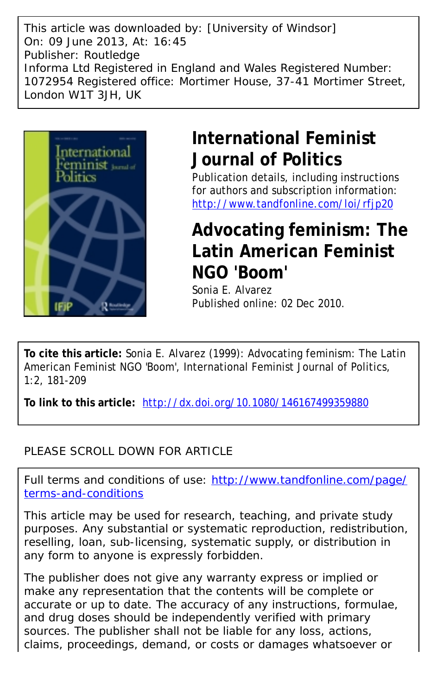This article was downloaded by: [University of Windsor] On: 09 June 2013, At: 16:45 Publisher: Routledge Informa Ltd Registered in England and Wales Registered Number: 1072954 Registered office: Mortimer House, 37-41 Mortimer Street, London W1T 3JH, UK



# **International Feminist Journal of Politics**

Publication details, including instructions for authors and subscription information: <http://www.tandfonline.com/loi/rfjp20>

# **Advocating feminism: The Latin American Feminist NGO 'Boom'**

Sonia E. Alvarez Published online: 02 Dec 2010.

**To cite this article:** Sonia E. Alvarez (1999): Advocating feminism: The Latin American Feminist NGO 'Boom', International Feminist Journal of Politics, 1:2, 181-209

**To link to this article:** <http://dx.doi.org/10.1080/146167499359880>

# PLEASE SCROLL DOWN FOR ARTICLE

Full terms and conditions of use: [http://www.tandfonline.com/page/](http://www.tandfonline.com/page/terms-and-conditions) [terms-and-conditions](http://www.tandfonline.com/page/terms-and-conditions)

This article may be used for research, teaching, and private study purposes. Any substantial or systematic reproduction, redistribution, reselling, loan, sub-licensing, systematic supply, or distribution in any form to anyone is expressly forbidden.

The publisher does not give any warranty express or implied or make any representation that the contents will be complete or accurate or up to date. The accuracy of any instructions, formulae, and drug doses should be independently verified with primary sources. The publisher shall not be liable for any loss, actions, claims, proceedings, demand, or costs or damages whatsoever or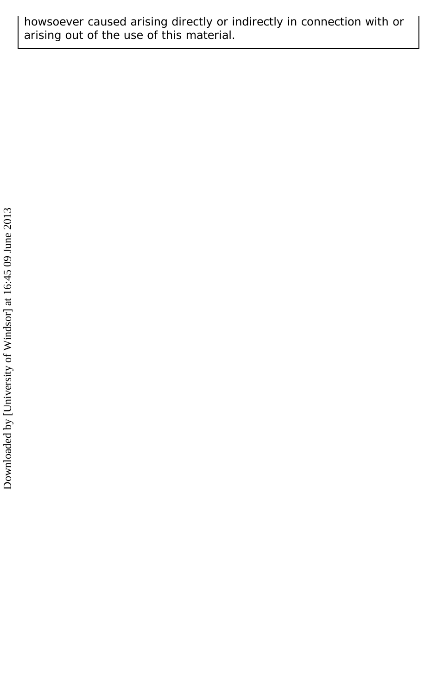howsoever caused arising directly or indirectly in connection with or arising out of the use of this material.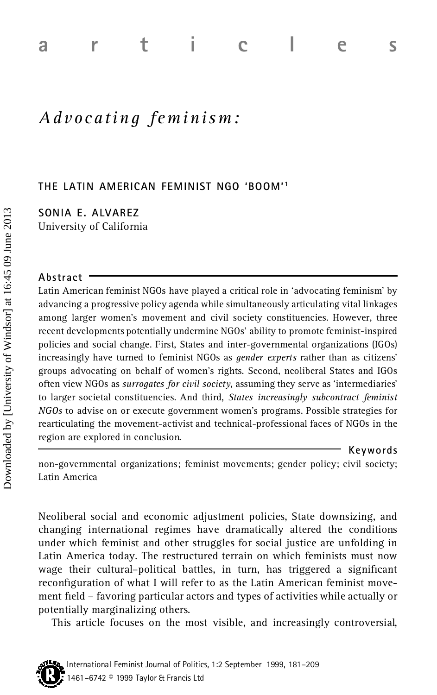# *Advocating f emini sm:*

**THE LATIN AMERICAN FEMINIST NGO 'BOOM' <sup>1</sup>**

**SONIA E. ALVAREZ** University of California

#### **Abstract**

Latin American feminist NGOs have played a critical role in 'advocating feminism' by advancing a progressive policy agenda while simultaneously articulating vital linkages among larger women's movement and civil society constituencies. However, three recent developments potentially undermine NGOs' ability to promote feminist-inspired policies and social change. First, States and inter-governmental organizations (IGOs) increasingly have turned to feminist NGOs as *gender experts* rather than as citizens' groups advocating on behalf of women's rights. Second, neoliberal States and IGOs often view NGOs as *surrogates for civil society*, assuming they serve as 'intermediaries' to larger societal constituencies. And third, *States increasingly subcontract feminist NGOs* to advise on or execute government women's programs. Possible strategies for rearticulating the movement-activist and technical-professional faces of NGOs in the region are explored in conclusion. **14161**<br> **1476**<br> **1476**<br> **1476**<br> **1476**<br> **1476**<br> **1476**<br> **1476**<br> **1476**<br> **1476**<br> **1476**<br> **1476**<br> **1476**<br> **1476**<br> **1476**<br> **1476**<br> **1476**<br> **1476**<br> **1476**<br> **1476**<br> **1476**<br> **1476**<br> **1476**<br> **1476**<br> **1476**<br> **1487**<br> **1487**<br> **148** 

**Keywords** non-governmental organizations; feminist movements; gender policy; civil society; Latin America

Neoliberal social and economic adjustment policies, State downsizing, and changing international regimes have dramatically altered the conditions under which feminist and other struggles for social justice are unfolding in Latin America today. The restructured terrain on which feminists must now wage their cultural-political battles, in turn, has triggered a significant reconfiguration of what I will refer to as the Latin American feminist movement field - favoring particular actors and types of activities while actually or potentially marginalizing others.

This article focuses on the most visible, and increasingly controversial,

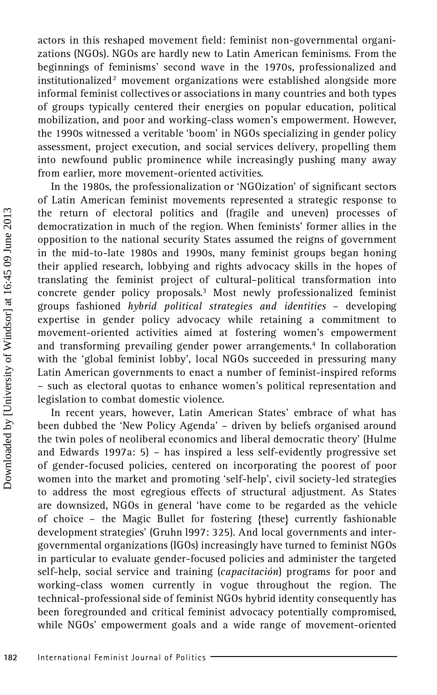actors in this reshaped movement field: feminist non-governmental organizations (NGOs). NGOs are hardly new to Latin American feminisms. From the beginnings of feminisms' second wave in the 1970s, professionalized and institutionalized<sup>2</sup> movement organizations were established alongside more informal feminist collectives or associations in many countries and both types of groups typically centered their energies on popular education, political mobilization, and poor and working-class women's empowerment. However, the 1990s witnessed a veritable 'boom' in NGOs specializing in gender policy assessment, project execution, and social services delivery, propelling them into newfound public prominence while increasingly pushing many away from earlier, more movement-oriented activities.

In the 1980s, the professionalization or 'NGOization' of significant sectors of Latin American feminist movements represented a strategic response to the return of electoral politics and (fragile and uneven) processes of democratization in much of the region. When feminists' former allies in the opposition to the national security States assumed the reigns of government in the mid-to-late 1980s and 1990s, many feminist groups began honing their applied research, lobbying and rights advocacy skills in the hopes of translating the feminist project of cultural–political transformation into concrete gender policy proposals.<sup>3</sup> Most newly professionalized feminist groups fashioned *hybrid political strategies and identities* – developing expertise in gender policy advocacy while retaining a commitment to movement-oriented activities aimed at fostering women's empowerment and transforming prevailing gender power arrangements.<sup>4</sup> In collaboration with the 'global feminist lobby', local NGOs succeeded in pressuring many Latin American governments to enact a number of feminist-inspired reforms – such as electoral quotas to enhance women's political representation and legislation to combat domestic violence.

In recent years, however, Latin American States' embrace of what has been dubbed the 'New Policy Agenda' – driven by beliefs organised around the twin poles of neoliberal economics and liberal democratic theory' (Hulme and Edwards 1997a: 5) – has inspired a less self-evidently progressive set of gender-focused policies, centered on incorporating the poorest of poor women into the market and promoting 'self-help', civil society-led strategies to address the most egregious effects of structural adjustment. As States are downsized, NGOs in general 'have come to be regarded as the vehicle of choice – the Magic Bullet for fostering {these} currently fashionable development strategies' (Gruhn l997: 325). And local governments and inter governmental organizations (IGOs) increasingly have turned to feminist NGOs in particular to evaluate gender-focused policies and administer the targeted self-help, social service and training (*capacitación*) programs for poor and working-class women currently in vogue throughout the region. The technical-professional side of feminist NGOs hybrid identity consequently has been foregrounded and critical feminist advocacy potentially compromised, while NGOs' empowerment goals and a wide range of movement-oriented 1822 Internation in much of the region opposition in much of the region opposition to the national security State in a policies of concrete gender policy proposals.<sup>3</sup> I groups fashioned *hy brid political* 3.3 expertise i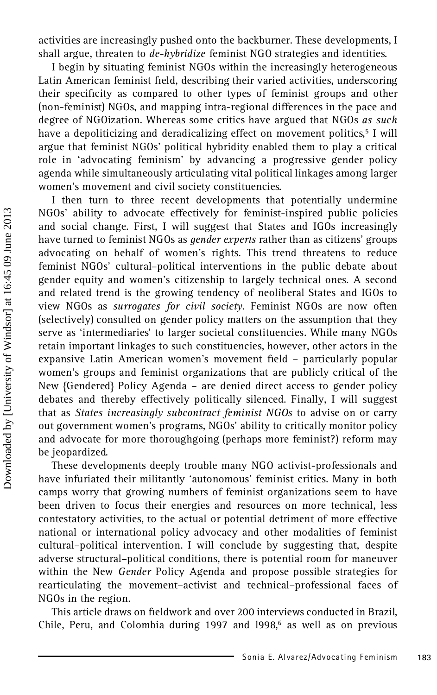activities are increasingly pushed onto the backburner. These developments, I shall argue, threaten to *de-hybridize* feminist NGO strategies and identities.

I begin by situating feminist NGOs within the increasingly heterogeneous Latin American feminist field, describing their varied activities, underscoring their specificity as compared to other types of feminist groups and other (non-feminist) NGOs, and mapping intra-regional differences in the pace and degree of NGOization. Whereas some critics have argued that NGOs *as such* have a depoliticizing and deradicalizing effect on movement politics,<sup>5</sup> I will argue that feminist NGOs' political hybridity enabled them to play a critical role in 'advocating feminism' by advancing a progressive gender policy agenda while simultaneously articulating vital political linkages among larger women's movement and civil society constituencies.

I then turn to three recent developments that potentially undermine NGOs' ability to advocate effectively for feminist-inspired public policies and social change. First, I will suggest that States and IGOs increasingly have turned to feminist NGOs as *gender experts* rather than as citizens' groups advocating on behalf of women's rights. This trend threatens to reduce feminist NGOs' cultural–political interventions in the public debate about gender equity and women's citizenship to largely technical ones. A second and related trend is the growing tendency of neoliberal States and IGOs to view NGOs as *surrogates for civil society*. Feminist NGOs are now often (selectively) consulted on gender policy matters on the assumption that they serve as 'intermediaries' to larger societal constituencies. While many NGOs retain important linkages to such constituencies, however, other actors in the expansive Latin American women's movement field - particularly popular women's groups and feminist organizations that are publicly critical of the New {Gendered} Policy Agenda – are denied direct access to gender policy debates and thereby effectively politically silenced. Finally, I will suggest that as *States increasingly subcontract feminist NGOs* to advise on or carry out government women's programs, NGOs' ability to critically monitor policy and advocate for more thoroughgoing (perhaps more feminist?) reform may be jeopardized.

These developments deeply trouble many NGO activist-professionals and have infuriated their militantly 'autonomous' feminist critics. Many in both camps worry that growing numbers of feminist organizations seem to have been driven to focus their energies and resources on more technical, less contestatory activities, to the actual or potential detriment of more effective national or international policy advocacy and other modalities of feminist cultural–political intervention. I will conclude by suggesting that, despite adverse structural–political conditions, there is potential room for maneuver within the New *Gender* Policy Agenda and propose possible strategies for rearticulating the movement–activist and technical–professional faces of NGOs in the region.

This article draws on fieldwork and over 200 interviews conducted in Brazil, Chile, Peru, and Colombia during 1997 and l998, $6$  as well as on previous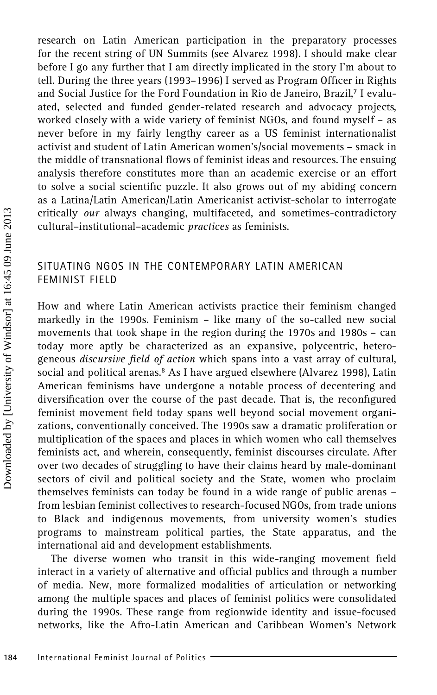research on Latin American participation in the preparatory processes for the recent string of UN Summits (see Alvarez 1998). I should make clear before I go any further that I am directly implicated in the story I'm about to tell. During the three years (1993–1996) I served as Program Officer in Rights and Social Justice for the Ford Foundation in Rio de Janeiro, Brazil,<sup>7</sup> I evaluated, selected and funded gender-related research and advocacy projects, worked closely with a wide variety of feminist NGOs, and found myself – as never before in my fairly lengthy career as a US feminist internationalist activist and student of Latin American women's/social movements – smack in the middle of transnational flows of feminist ideas and resources. The ensuing analysis therefore constitutes more than an academic exercise or an effort to solve a social scientific puzzle. It also grows out of my abiding concern as a Latina/Latin American/Latin Americanist activist-scholar to interrogate critically *our* always changing, multifaceted, and sometimes-contradictory cultural–institutional–academic *practices* as feminists.

#### SITUATING NGOS IN THE CONTEMPORARY LATIN AMERICAN FEMINIST FIELD

How and where Latin American activists practice their feminism changed markedly in the 1990s. Feminism – like many of the so-called new social movements that took shape in the region during the 1970s and 1980s – can today more aptly be characterized as an expansive, polycentric, hetero geneous *discursive field of action* which spans into a vast array of cultural, social and political arenas.<sup>8</sup> As I have argued elsewhere (Alvarez 1998), Latin American feminisms have undergone a notable process of decentering and diversification over the course of the past decade. That is, the reconfigured feminist movement field today spans well beyond social movement organizations, conventionally conceived. The 1990s saw a dramatic proliferation or multiplication of the spaces and places in which women who call themselves feminists act, and wherein, consequently, feminist discourses circulate. After over two decades of struggling to have their claims heard by male-dominant sectors of civil and political society and the State, women who proclaim themselves feminists can today be found in a wide range of public arenas – from lesbian feminist collectives to research-focused NGOs, from trade unions to Black and indigenous movements, from university women's studies programs to mainstream political parties, the State apparatus, and the international aid and development establishments. **184** International Feministics Of NET THE CONTEMP TEMINIST FIELD<br> **184** ISSNET THE CONTEMP FEMINIST FIELD<br> **184** ISSNET THE CONTEMP FEMINIST FIELD<br> **184** ISSNET THE CONTEMP FEMINIST FIELD<br> **184** ISSNET THE CONTEMP TEMINI

The diverse women who transit in this wide-ranging movement field interact in a variety of alternative and official publics and through a number of media. New, more formalized modalities of articulation or networking among the multiple spaces and places of feminist politics were consolidated during the 1990s. These range from regionwide identity and issue-focused networks, like the Afro-Latin American and Caribbean Women's Network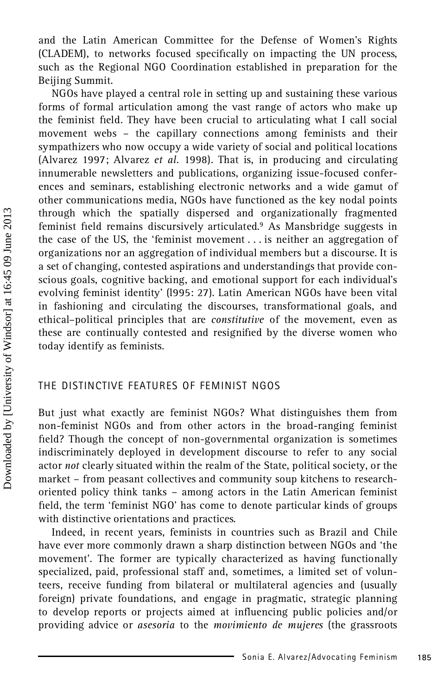and the Latin American Committee for the Defense of Women's Rights (CLADEM), to networks focused specifically on impacting the UN process, such as the Regional NGO Coordination established in preparation for the Beijing Summit.

NGOs have played a central role in setting up and sustaining these various forms of formal articulation among the vast range of actors who make up the feminist field. They have been crucial to articulating what I call social movement webs – the capillary connections among feminists and their sympathizers who now occupy a wide variety of social and political locations (Alvarez 1997; Alvarez *et al*. 1998). That is, in producing and circulating innumerable newsletters and publications, organizing issue-focused confer ences and seminars, establishing electronic networks and a wide gamut of other communications media, NGOs have functioned as the key nodal points through which the spatially dispersed and organizationally fragmented feminist field remains discursively articulated.<sup>9</sup> As Mansbridge suggests in the case of the US, the 'feminist movement . . . is neither an aggregation of organizations nor an aggregation of individual members but a discourse. It is a set of changing, contested aspirations and understandings that provide conscious goals, cognitive backing, and emotional support for each individual's evolving feminist identity' (l995: 27). Latin American NGOs have been vital in fashioning and circulating the discourses, transformational goals, and ethical–political principles that are *constitutive* of the movement, even as these are continually contested and resignified by the diverse women who today identify as feminists.

#### THE DISTINCTIVE FEATURES OF FEMINIST NGOS

But just what exactly are feminist NGOs? What distinguishes them from non-feminist NGOs and from other actors in the broad-ranging feminist field? Though the concept of non-governmental organization is sometimes indiscriminately deployed in development discourse to refer to any social actor *not* clearly situated within the realm of the State, political society, or the market – from peasant collectives and community soup kitchens to research oriented policy think tanks – among actors in the Latin American feminist field, the term 'feminist NGO' has come to denote particular kinds of groups with distinctive orientations and practices.

Indeed, in recent years, feminists in countries such as Brazil and Chile have ever more commonly drawn a sharp distinction between NGOs and 'the movement'. The former are typically characterized as having functionally specialized, paid, professional staff and, sometimes, a limited set of volunteers, receive funding from bilateral or multilateral agencies and (usually foreign) private foundations, and engage in pragmatic, strategic planning to develop reports or projects aimed at influencing public policies and/or providing advice or *asesoria* to the *movimiento de mujeres* (the grassroots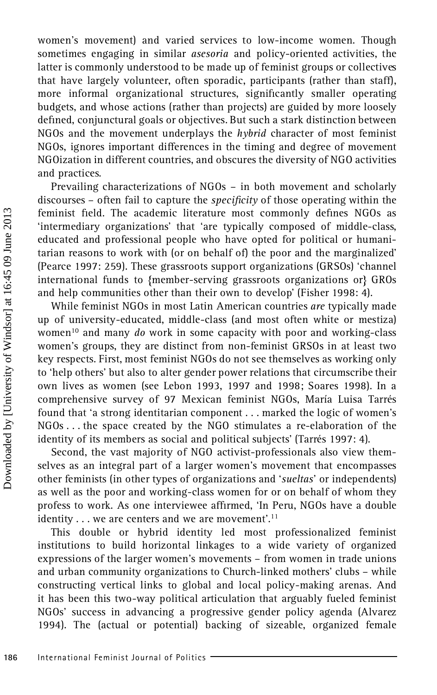women's movement) and varied services to low-income women. Though sometimes engaging in similar *asesoria* and policy-oriented activities, the latter is commonly understood to be made up of feminist groups or collectives that have largely volunteer, often sporadic, participants (rather than staff), more informal organizational structures, significantly smaller operating budgets, and whose actions (rather than projects) are guided by more loosely defined, conjunctural goals or objectives. But such a stark distinction between NGOs and the movement underplays the *hybrid* character of most feminist NGOs, ignores important differences in the timing and degree of movement NGOization in different countries, and obscures the diversity of NGO activities and practices.

Prevailing characterizations of NGOs – in both movement and scholarly discourses – often fail to capture the *specificity* of those operating within the feminist field. The academic literature most commonly defines NGOs as 'intermediary organizations' that 'are typically composed of middle-class, educated and professional people who have opted for political or humanitarian reasons to work with (or on behalf of) the poor and the marginalized' (Pearce 1997: 259). These grassroots support organizations (GRSOs) 'channel international funds to {member-serving grassroots organizations or} GROs and help communities other than their own to develop' (Fisher 1998: 4).

While feminist NGOs in most Latin American countries *are* typically made up of university-educated, middle-class (and most often white or mestiza) women<sup>10</sup> and many *do* work in some capacity with poor and working-class women's groups, they are distinct from non-feminist GRSOs in at least two key respects. First, most feminist NGOs do not see themselves as working only to 'help others' but also to alter gender power relations that circumscribe their own lives as women (see Lebon 1993, 1997 and 1998; Soares 1998). In a comprehensive survey of 97 Mexican feminist NGOs, María Luisa Tarrés found that 'a strong identitarian component . . . marked the logic of women's NGOs . . . the space created by the NGO stimulates a re-elaboration of the identity of its members as social and political subjects' (Tarrés 1997: 4). **186** Intermational Feminist field. The academic literature diacted and professional people whis<br>tarian reasons to work with (or on belowed and professional people whis<br>termational funds to {member-servi and help communit

Second, the vast majority of NGO activist-professionals also view themselves as an integral part of a larger women's movement that encompasses other feminists (in other types of organizations and '*sueltas*' or independents) as well as the poor and working-class women for or on behalf of whom they profess to work. As one interviewee affirmed, 'In Peru, NGOs have a double identity  $\dots$  we are centers and we are movement'.<sup>11</sup>

This double or hybrid identity led most professionalized feminist institutions to build horizontal linkages to a wide variety of organized expressions of the larger women's movements – from women in trade unions and urban community organizations to Church-linked mothers' clubs – while constructing vertical links to global and local policy-making arenas. And it has been this two-way political articulation that arguably fueled feminist NGOs' success in advancing a progressive gender policy agenda (Alvarez 1994). The (actual or potential) backing of sizeable, organized female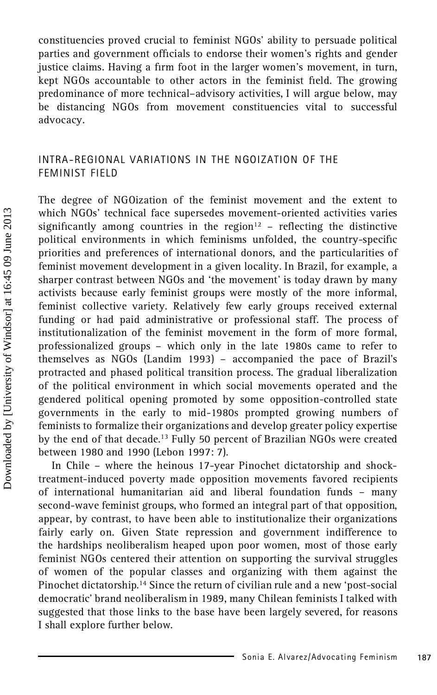constituencies proved crucial to feminist NGOs' ability to persuade political parties and government officials to endorse their women's rights and gender justice claims. Having a firm foot in the larger women's movement, in turn, kept NGOs accountable to other actors in the feminist field. The growing predominance of more technical–advisory activities, I will argue below, may be distancing NGOs from movement constituencies vital to successful advocacy.

## INTRA-REGIONAL VARIAT IONS IN THE NGOIZATION OF THE FEMINIST FIELD

The degree of NGOization of the feminist movement and the extent to which NGOs' technical face supersedes movement-oriented activities varies significantly among countries in the region $^{12}$  – reflecting the distinctive political environments in which feminisms unfolded, the country-specific priorities and preferences of international donors, and the particularities of feminist movement development in a given locality. In Brazil, for example, a sharper contrast between NGOs and 'the movement' is today drawn by many activists because early feminist groups were mostly of the more informal, feminist collective variety. Relatively few early groups received external funding or had paid administrative or professional staff. The process of institutionalization of the feminist movement in the form of more formal, professionalized groups – which only in the late 1980s came to refer to themselves as NGOs (Landim 1993) – accompanied the pace of Brazil's protracted and phased political transition process. The gradual liberalization of the political environment in which social movements operated and the gendered political opening promoted by some opposition-controlled state governments in the early to mid-1980s prompted growing numbers of feminists to formalize their organizations and develop greater policy expertise by the end of that decade.<sup>13</sup> Fully 50 percent of Brazilian NGOs were created between 1980 and 1990 (Lebon 1997: 7).

In Chile – where the heinous 17-year Pinochet dictatorship and shocktreatment-induced poverty made opposition movements favored recipients of international humanitarian aid and liberal foundation funds – many second-wave feminist groups, who formed an integral part of that opposition, appear, by contrast, to have been able to institutionalize their organizations fairly early on. Given State repression and government indifference to the hardships neoliberalism heaped upon poor women, most of those early feminist NGOs centered their attention on supporting the survival struggles of women of the popular classes and organizing with them against the Pinochet dictatorship.<sup>14</sup> Since the return of civilian rule and a new 'post-social democratic' brand neoliberalism in 1989, many Chilean feminists I talked with suggested that those links to the base have been largely severed, for reasons I shall explore further below.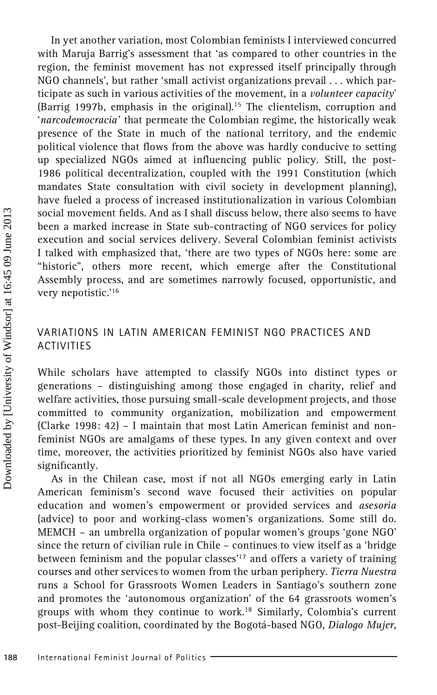In yet another variation, most Colombian feminists I interviewed concurred with Maruja Barrig's assessment that 'as compared to other countries in the region, the feminist movement has not expressed itself principally through NGO channels', but rather 'small activist organizations prevail . . . which participate as such in various activities of the movement, in a *volunteer capacity*' (Barrig 1997b, emphasis in the original).<sup>15</sup> The clientelism, corruption and '*narcodemocracia*' that permeate the Colombian regime, the historically weak presence of the State in much of the national territory, and the endemic political violence that flows from the above was hardly conducive to setting up specialized NGOs aimed at influencing public policy. Still, the post-1986 political decentralization, coupled with the 1991 Constitution (which mandates State consultation with civil society in development planning), have fueled a process of increased institutionalization in various Colombian social movement fields. And as I shall discuss below, there also seems to have been a marked increase in State sub-contracting of NGO services for policy execution and social services delivery. Several Colombian feminist activists I talked with emphasized that, 'there are two types of NGOs here: some are "historic", others more recent, which emerge after the Constitutional Assembly process, and are sometimes narrowly focused, opportunistic, and very nepotistic.'<sup>16</sup>

### VARIATIONS IN LATIN AMERICAN FEMINIST NGO PRACTICES AND ACTIVITIES

While scholars have attempted to classify NGOs into distinct types or generations – distinguishing among those engaged in charity, relief and welfare activities, those pursuing small-scale development projects, and those committed to community organization, mobilization and empowerment (Clarke 1998: 42) – I maintain that most Latin American feminist and nonfeminist NGOs are amalgams of these types. In any given context and over time, moreover, the activities prioritized by feminist NGOs also have varied significantly.

As in the Chilean case, most if not all NGOs emerging early in Latin American feminism's second wave focused their activities on popular education and women's empowerment or provided services and *asesoria* (advice) to poor and working-class women's organizations. Some still do. MEMCH – an umbrella organization of popular women's groups 'gone NGO' since the return of civilian rule in Chile – continues to view itself as a 'bridge between feminism and the popular classes<sup>'17</sup> and offers a variety of training courses and other services to women from the urban periphery. *Tierra Nuestra* runs a School for Grassroots Women Leaders in Santiago's southern zone and promotes the 'autonomous organization' of the 64 grassroots women's groups with whom they continue to work.<sup>18</sup> Similarly, Colombia's current post-Beijing coalition, coordinated by the Bogotá-based NGO, *Dialogo Mujer*, 1888 International Social movement fields. And as I shall<br>
28 execution and social services delivery<br>
1 talked with emphasized that, "there<br>
"Instoric", others more recent, which<br>
28 The "historic", others more recent, whi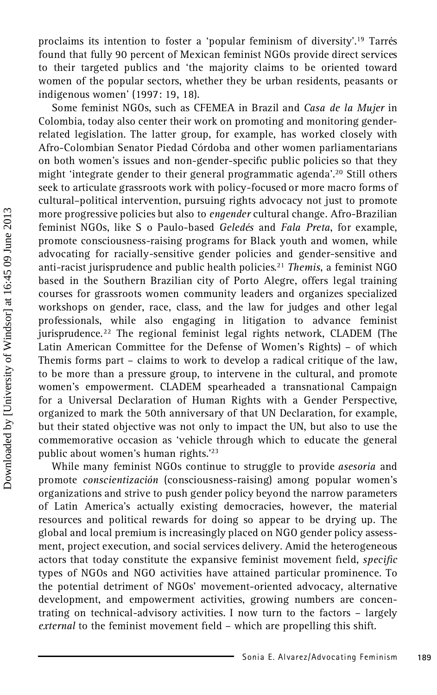proclaims its intention to foster a 'popular feminism of diversity'.<sup>19</sup> Tarrés found that fully 90 percent of Mexican feminist NGOs provide direct services to their targeted publics and 'the majority claims to be oriented toward women of the popular sectors, whether they be urban residents, peasants or indigenous women' (1997: 19, 18).

Some feminist NGOs, such as CFEMEA in Brazil and *Casa de la Mujer* in Colombia, today also center their work on promoting and monitoring genderrelated legislation. The latter group, for example, has worked closely with Afro-Colombian Senator Piedad Córdoba and other women parliamentarians on both women's issues and non-gender-specific public policies so that they might 'integrate gender to their general programmatic agenda'.<sup>20</sup> Still others seek to articulate grassroots work with policy-focused or more macro forms of cultural–political intervention, pursuing rights advocacy not just to promote more progressive policies but also to *engender* cultural change. Afro-Brazilian feminist NGOs, like São Paulo-based *Geledés* and *Fala Preta*, for example, promote consciousness-raising programs for Black youth and women, while advocating for racially-sensitive gender policies and gender-sensitive and anti-racist jurisprudence and public health policies.<sup>21</sup> *Themis*, a feminist NGO based in the Southern Brazilian city of Porto Alegre, offers legal training courses for grassroots women community leaders and organizes specialized workshops on gender, race, class, and the law for judges and other legal professionals, while also engaging in litigation to advance feminist jurisprudence.<sup>22</sup> The regional feminist legal rights network, CLADEM (The Latin American Committee for the Defense of Women's Rights) – of which Themis forms part – claims to work to develop a radical critique of the law, to be more than a pressure group, to intervene in the cultural, and promote women's empowerment. CLADEM spearheaded a transnational Campaign for a Universal Declaration of Human Rights with a Gender Perspective, organized to mark the 50th anniversary of that UN Declaration, for example, but their stated objective was not only to impact the UN, but also to use the commemorative occasion as 'vehicle through which to educate the general public about women's human rights.'<sup>23</sup>

While many feminist NGOs continue to struggle to provide *asesoria* and promote *conscientización* (consciousness-raising) among popular women's organizations and strive to push gender policy beyond the narrow parameters of Latin America's actually existing democracies, however, the material resources and political rewards for doing so appear to be drying up. The global and local premium is increasingly placed on NGO gender policy assess ment, project execution, and social services delivery. Amid the heterogeneous actors that today constitute the expansive feminist movement field, *specific* types of NGOs and NGO activities have attained particular prominence. To the potential detriment of NGOs' movement-oriented advocacy, alternative development, and empowerment activities, growing numbers are concentrating on technical-advisory activities. I now turn to the factors – largely *external* to the feminist movement field - which are propelling this shift.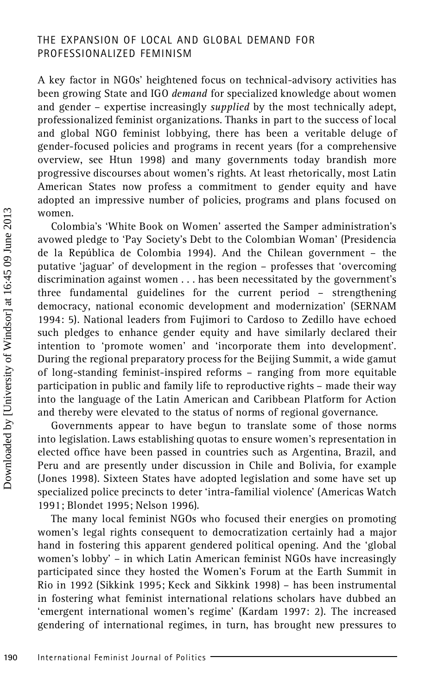#### THE EXPANSION OF LOCAL AND GLOBAL DEMAND FOR PROFESSIONALIZED FEMINISM

A key factor in NGOs' heightened focus on technical-advisory activities has been growing State and IGO *demand* for specialized knowledge about women and gender – expertise increasingly *supplied* by the most technically adept, professionalized feminist organizations. Thanks in part to the success of local and global NGO feminist lobbying, there has been a veritable deluge of gender-focused policies and programs in recent years (for a comprehensive overview, see Htun 1998) and many governments today brandish more progressive discourses about women's rights. At least rhetorically, most Latin American States now profess a commitment to gender equity and have adopted an impressive number of policies, programs and plans focused on women.

Colombia's 'White Book on Women' asserted the Samper administration's avowed pledge to 'Pay Society's Debt to the Colombian Woman' (Presidencia de la República de Colombia 1994). And the Chilean government – the putative 'jaguar' of development in the region – professes that 'overcoming discrimination against women . .. has been necessitated by the government's three fundamental guidelines for the current period – strengthening democracy, national economic development and modernization' (SERNAM 1994: 5). National leaders from Fujimori to Cardoso to Zedillo have echoed such pledges to enhance gender equity and have similarly declared their intention to 'promote women' and 'incorporate them into development'. During the regional preparatory process for the Beijing Summit, a wide gamut of long-standing feminist-inspired reforms – ranging from more equitable participation in public and family life to reproductive rights – made their way into the language of the Latin American and Caribbean Platform for Action and thereby were elevated to the status of norms of regional governance. **190** International Feminist Jours (Colombia's White Book on Women and a República de Colombia 1994), putative 'jaguar' of development in the discrimination against women . . . has three fundamental guidelines for democrac

Governments appear to have begun to translate some of those norms into legislation. Laws establishing quotas to ensure women's representation in elected office have been passed in countries such as Argentina, Brazil, and Peru and are presently under discussion in Chile and Bolivia, for example (Jones 1998). Sixteen States have adopted legislation and some have set up specialized police precincts to deter 'intra-familial violence' (Americas Watch 1991; Blondet 1995; Nelson 1996).

The many local feminist NGOs who focused their energies on promoting women's legal rights consequent to democratization certainly had a major hand in fostering this apparent gendered political opening. And the 'global women's lobby' – in which Latin American feminist NGOs have increasingly participated since they hosted the Women's Forum at the Earth Summit in Rio in 1992 (Sikkink 1995; Keck and Sikkink 1998) – has been instrumental in fostering what feminist international relations scholars have dubbed an 'emergent international women's regime' (Kardam 1997: 2). The increased gendering of international regimes, in turn, has brought new pressures to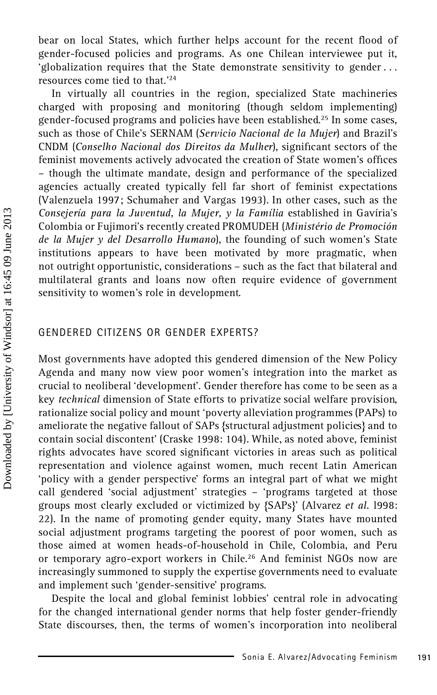bear on local States, which further helps account for the recent flood of gender-focused policies and programs. As one Chilean interviewee put it, 'globalization requires that the State demonstrate sensitivity to gender . . . resources come tied to that.'<sup>24</sup>

In virtually all countries in the region, specialized State machineries charged with proposing and monitoring (though seldom implementing) gender-focused programs and policies have been established.<sup>25</sup> In some cases, such as those of Chile's SERNAM (*Servicio Nacional de la Mujer*) and Brazil's CNDM (*Conselho Nacional dos Direitos da Mulher*), signicant sectors of the feminist movements actively advocated the creation of State women's offices – though the ultimate mandate, design and performance of the specialized agencies actually created typically fell far short of feminist expectations (Valenzuela 1997; Schumaher and Vargas 1993). In other cases, such as the *Consejería para la Juventud, la Mujer, y la Família* established in Gavíria's Colombia or Fujimori's recently created PROMUDEH (*Ministério de Promoción de la Mujer y del Desarrollo Humano*), the founding of such women's State institutions appears to have been motivated by more pragmatic, when not outright opportunistic, considerations – such as the fact that bilateral and multilateral grants and loans now often require evidence of government sensitivity to women's role in development.

#### GENDERED CITIZENS OR GENDER EXPERTS?

Most governments have adopted this gendered dimension of the New Policy Agenda and many now view poor women's integration into the market as crucial to neoliberal 'development'. Gender therefore has come to be seen as a key *technical* dimension of State efforts to privatize social welfare provision, rationalize social policy and mount 'poverty alleviation programmes (PAPs) to ameliorate the negative fallout of SAPs {structural adjustment policies} and to contain social discontent' (Craske 1998: 104). While, as noted above, feminist rights advocates have scored significant victories in areas such as political representation and violence against women, much recent Latin American 'policy with a gender perspective' forms an integral part of what we might call gendered 'social adjustment' strategies – 'programs targeted at those groups most clearly excluded or victimized by {SAPs}' (Alvarez *et al*. l998: 22). In the name of promoting gender equity, many States have mounted social adjustment programs targeting the poorest of poor women, such as those aimed at women heads-of-household in Chile, Colombia, and Peru or temporary agro-export workers in Chile.<sup>26</sup> And feminist NGOs now are increasingly summoned to supply the expertise governments need to evaluate and implement such 'gender-sensitive' programs.

Despite the local and global feminist lobbies' central role in advocating for the changed international gender norms that help foster gender-friendly State discourses, then, the terms of women's incorporation into neoliberal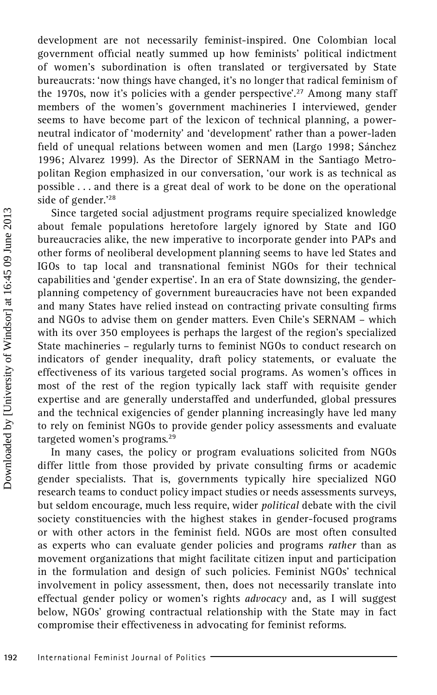development are not necessarily feminist-inspired. One Colombian local government official neatly summed up how feminists' political indictment of women's subordination is often translated or tergiversated by State bureaucrats: 'now things have changed, it's no longer that radical feminism of the 1970s, now it's policies with a gender perspective'.<sup>27</sup> Among many staff members of the women's government machineries I interviewed, gender seems to have become part of the lexicon of technical planning, a power neutral indicator of 'modernity' and 'development' rather than a power-laden field of unequal relations between women and men (Largo 1998; Sánchez 1996; Alvarez 1999). As the Director of SERNAM in the Santiago Metro politan Region emphasized in our conversation, 'our work is as technical as possible . . . and there is a great deal of work to be done on the operational side of gender.'<sup>28</sup>

Since targeted social adjustment programs require specialized knowledge about female populations heretofore largely ignored by State and IGO bureaucracies alike, the new imperative to incorporate gender into PAPs and other forms of neoliberal development planning seems to have led States and IGOs to tap local and transnational feminist NGOs for their technical capabilities and 'gender expertise'. In an era of State downsizing, the gender planning competency of government bureaucracies have not been expanded and many States have relied instead on contracting private consulting firms and NGOs to advise them on gender matters. Even Chile's SERNAM – which with its over 350 employees is perhaps the largest of the region's specialized State machineries – regularly turns to feminist NGOs to conduct research on indicators of gender inequality, draft policy statements, or evaluate the effectiveness of its various targeted social programs. As women's offices in most of the rest of the region typically lack staff with requisite gender expertise and are generally understaffed and underfunded, global pressures and the technical exigencies of gender planning increasingly have led many to rely on feminist NGOs to provide gender policy assessments and evaluate targeted women's programs.<sup>29</sup> Since targeted social adjustment provided by<br>sureaucreasies alike, the new imperative other forms of neoliberal development<br>IGOs to tap local and transnational capabilities and 'gender expertise'. In a planning competency

In many cases, the policy or program evaluations solicited from NGOs differ little from those provided by private consulting firms or academic gender specialists. That is, governments typically hire specialized NGO research teams to conduct policy impact studies or needs assessments surveys, but seldom encourage, much less require, wider *political* debate with the civil society constituencies with the highest stakes in gender-focused programs or with other actors in the feminist field. NGOs are most often consulted as experts who can evaluate gender policies and programs *rather* than as movement organizations that might facilitate citizen input and participation in the formulation and design of such policies. Feminist NGOs' technical involvement in policy assessment, then, does not necessarily translate into effectual gender policy or women's rights *advocacy* and, as I will suggest below, NGOs' growing contractual relationship with the State may in fact compromise their effectiveness in advocating for feminist reforms.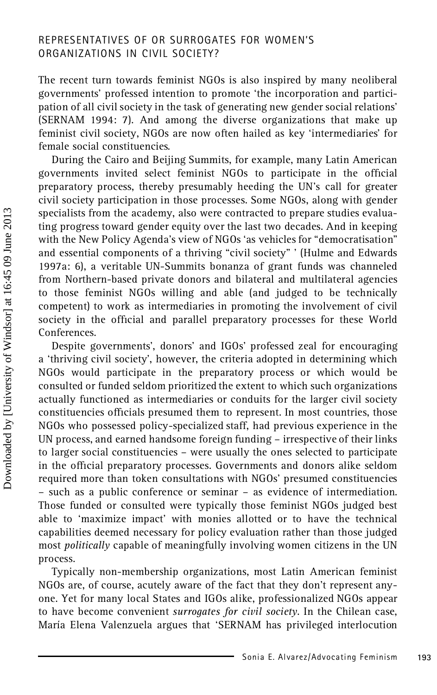#### REPRESENTATIVES OF OR SURROGATES FOR WOMEN'S ORGANIZATIONS IN CIVIL SOCIETY?

The recent turn towards feminist NGOs is also inspired by many neoliberal governments' professed intention to promote 'the incorporation and partici pation of all civil society in the task of generating new gender social relations' (SERNAM 1994: 7). And among the diverse organizations that make up feminist civil society, NGOs are now often hailed as key 'intermediaries' for female social constituencies.

During the Cairo and Beijing Summits, for example, many Latin American governments invited select feminist NGOs to participate in the official preparatory process, thereby presumably heeding the UN's call for greater civil society participation in those processes. Some NGOs, along with gender specialists from the academy, also were contracted to prepare studies evaluating progress toward gender equity over the last two decades. And in keeping with the New Policy Agenda's view of NGOs 'as vehicles for "democratisation" and essential components of a thriving "civil society" '(Hulme and Edwards 1997a: 6), a veritable UN-Summits bonanza of grant funds was channeled from Northern-based private donors and bilateral and multilateral agencies to those feminist NGOs willing and able (and judged to be technically competent) to work as intermediaries in promoting the involvement of civil society in the official and parallel preparatory processes for these World Conferences.

Despite governments', donors' and IGOs' professed zeal for encouraging a 'thriving civil society', however, the criteria adopted in determining which NGOs would participate in the preparatory process or which would be consulted or funded seldom prioritized the extent to which such organizations actually functioned as intermediaries or conduits for the larger civil society constituencies officials presumed them to represent. In most countries, those NGOs who possessed policy-specialized staff, had previous experience in the UN process, and earned handsome foreign funding – irrespective of their links to larger social constituencies – were usually the ones selected to participate in the official preparatory processes. Governments and donors alike seldom required more than token consultations with NGOs' presumed constituencies – such as a public conference or seminar – as evidence of intermediation. Those funded or consulted were typically those feminist NGOs judged best able to 'maximize impact' with monies allotted or to have the technical capabilities deemed necessary for policy evaluation rather than those judged most *politically* capable of meaningfully involving women citizens in the UN process.

Typically non-membership organizations, most Latin American feminist NGOs are, of course, acutely aware of the fact that they don't represent any one. Yet for many local States and IGOs alike, professionalized NGOs appear to have become convenient *surrogates for civil society*. In the Chilean case, María Elena Valenzuela argues that 'SERNAM has privileged interlocution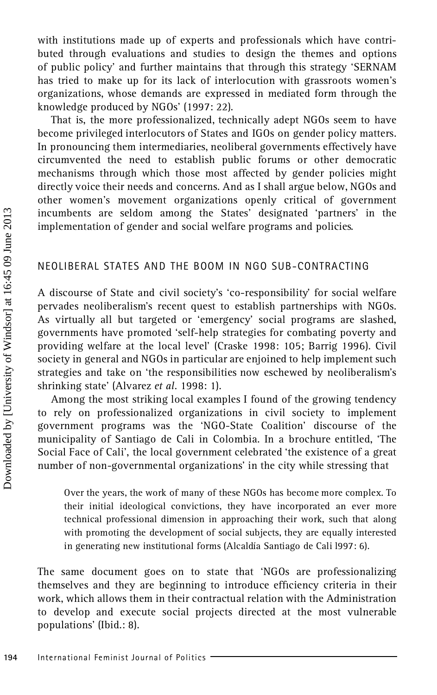with institutions made up of experts and professionals which have contri buted through evaluations and studies to design the themes and options of public policy' and further maintains that through this strategy 'SERNAM has tried to make up for its lack of interlocution with grassroots women's organizations, whose demands are expressed in mediated form through the knowledge produced by NGOs' (1997: 22).

That is, the more professionalized, technically adept NGOs seem to have become privileged interlocutors of States and IGOs on gender policy matters. In pronouncing them intermediaries, neoliberal governments effectively have circumvented the need to establish public forums or other democratic mechanisms through which those most affected by gender policies might directly voice their needs and concerns. And as I shall argue below, NGOs and other women's movement organizations openly critical of government incumbents are seldom among the States' designated 'partners' in the implementation of gender and social welfare programs and policies.

#### NEOLIBERAL STATES AND THE BOOM IN NGO SUB-CONTRACTING

A discourse of State and civil society's 'co-responsibility' for social welfare pervades neoliberalism's recent quest to establish partnerships with NGOs. As virtually all but targeted or 'emergency' social programs are slashed, governments have promoted 'self-help strategies for combating poverty and providing welfare at the local level' (Craske 1998: 105; Barrig 1996). Civil society in general and NGOs in particular are enjoined to help implement such strategies and take on 'the responsibilities now eschewed by neoliberalism's shrinking state' (Alvarez *et al*. 1998: 1). **194** International Feminitary of State and covid Service Constant Advisor of State and civil society pervades neoliberalism's recent quest As virtually all but targeted or 'emmogrovements have promoted 'self-help providi

Among the most striking local examples I found of the growing tendency to rely on professionalized organizations in civil society to implement government programs was the 'NGO-State Coalition' discourse of the municipality of Santiago de Cali in Colombia. In a brochure entitled, 'The Social Face of Cali', the local government celebrated 'the existence of a great number of non-governmental organizations' in the city while stressing that

Over the years, the work of many of these NGOs has become more complex. To their initial ideological convictions, they have incorporated an ever more technical professional dimension in approaching their work, such that along with promoting the development of social subjects, they are equally interested in generating new institutional forms (Alcaldía Santiago de Cali l997: 6).

The same document goes on to state that 'NGOs are professionalizing themselves and they are beginning to introduce efficiency criteria in their work, which allows them in their contractual relation with the Administration to develop and execute social projects directed at the most vulnerable populations' (Ibid.: 8).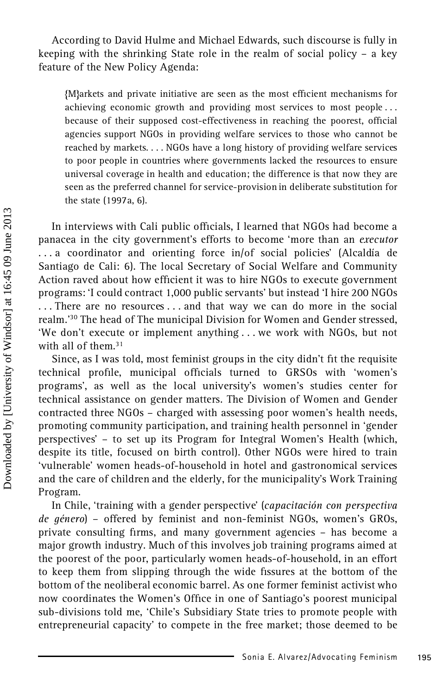According to David Hulme and Michael Edwards, such discourse is fully in keeping with the shrinking State role in the realm of social policy – a key feature of the New Policy Agenda:

{M}arkets and private initiative are seen as the most efficient mechanisms for achieving economic growth and providing most services to most people . . . because of their supposed cost-effectiveness in reaching the poorest, official agencies support NGOs in providing welfare services to those who cannot be reached by markets. . . . NGOs have a long history of providing welfare services to poor people in countries where governments lacked the resources to ensure universal coverage in health and education; the difference is that now they are seen as the preferred channel for service-provision in deliberate substitution for the state (1997a, 6).

In interviews with Cali public officials, I learned that NGOs had become a panacea in the city government's efforts to become 'more than an *executor* . . . a coordinator and orienting force in/of social policies' (Alcaldía de Santiago de Cali: 6). The local Secretary of Social Welfare and Community Action raved about how efficient it was to hire NGOs to execute government programs: 'I could contract 1,000 public servants' but instead 'I hire 200 NGOs . . . There are no resources .. . and that way we can do more in the social realm.'<sup>30</sup> The head of The municipal Division for Women and Gender stressed, 'We don't execute or implement anything . . . we work with NGOs, but not with all of them.<sup>31</sup>

Since, as I was told, most feminist groups in the city didn't fit the requisite technical profile, municipal officials turned to GRSOs with 'women's programs', as well as the local university's women's studies center for technical assistance on gender matters. The Division of Women and Gender contracted three NGOs – charged with assessing poor women's health needs, promoting community participation, and training health personnel in 'gender perspectives' – to set up its Program for Integral Women's Health (which, despite its title, focused on birth control). Other NGOs were hired to train 'vulnerable' women heads-of-household in hotel and gastronomical services and the care of children and the elderly, for the municipality's Work Training Program.

In Chile, 'training with a gender perspective' (*capacitación con perspectiva de género*) – offered by feminist and non-feminist NGOs, women's GROs, private consulting firms, and many government agencies - has become a major growth industry. Much of this involves job training programs aimed at the poorest of the poor, particularly women heads-of-household, in an effort to keep them from slipping through the wide fissures at the bottom of the bottom of the neoliberal economic barrel. As one former feminist activist who now coordinates the Women's Office in one of Santiago's poorest municipal sub-divisions told me, 'Chile's Subsidiary State tries to promote people with entrepreneurial capacity' to compete in the free market; those deemed to be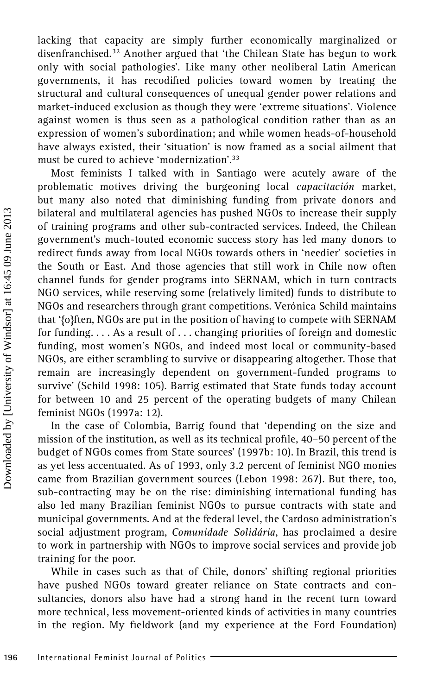lacking that capacity are simply further economically marginalized or disenfranchised.<sup>32</sup> Another argued that 'the Chilean State has begun to work only with social pathologies'. Like many other neoliberal Latin American governments, it has recodified policies toward women by treating the structural and cultural consequences of unequal gender power relations and market-induced exclusion as though they were 'extreme situations'. Violence against women is thus seen as a pathological condition rather than as an expression of women's subordination; and while women heads-of-household have always existed, their 'situation' is now framed as a social ailment that must be cured to achieve 'modernization'.<sup>33</sup>

Most feminists I talked with in Santiago were acutely aware of the problematic motives driving the burgeoning local *capacitación* market, but many also noted that diminishing funding from private donors and bilateral and multilateral agencies has pushed NGOs to increase their supply of training programs and other sub-contracted services. Indeed, the Chilean government's much-touted economic success story has led many donors to redirect funds away from local NGOs towards others in 'needier' societies in the South or East. And those agencies that still work in Chile now often channel funds for gender programs into SERNAM, which in turn contracts NGO services, while reserving some (relatively limited) funds to distribute to NGOs and researchers through grant competitions. Verónica Schild maintains that '{o}ften, NGOs are put in the position of having to compete with SERNAM for funding. . . . As a result of . . . changing priorities of foreign and domestic funding, most women's NGOs, and indeed most local or community-based NGOs, are either scrambling to survive or disappearing altogether. Those that remain are increasingly dependent on government-funded programs to survive' (Schild 1998: 105). Barrig estimated that State funds today account for between 10 and 25 percent of the operating budgets of many Chilean feminist NGOs (1997a: 12). **196** Internal and multilateral agencies has<br> **1968** overment's much-touted economic<br>
goverment's much touted economic<br>
Tedirect funds away from local NGOs<br>
the South or East. And those agencic<br>
channel funds for gender p

In the case of Colombia, Barrig found that 'depending on the size and mission of the institution, as well as its technical profile, 40–50 percent of the budget of NGOs comes from State sources' (1997b: 10). In Brazil, this trend is as yet less accentuated. As of 1993, only 3.2 percent of feminist NGO monies came from Brazilian government sources (Lebon 1998: 267). But there, too, sub-contracting may be on the rise: diminishing international funding has also led many Brazilian feminist NGOs to pursue contracts with state and municipal governments. And at the federal level, the Cardoso administration's social adjustment program, *Comunidade Solidária*, has proclaimed a desire to work in partnership with NGOs to improve social services and provide job training for the poor.

While in cases such as that of Chile, donors' shifting regional priorities have pushed NGOs toward greater reliance on State contracts and consultancies, donors also have had a strong hand in the recent turn toward more technical, less movement-oriented kinds of activities in many countries in the region. My fieldwork (and my experience at the Ford Foundation)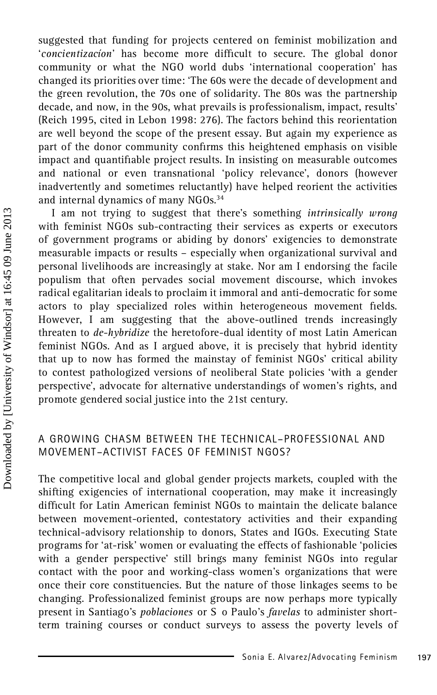suggested that funding for projects centered on feminist mobilization and 'concientizacion' has become more difficult to secure. The global donor community or what the NGO world dubs 'international cooperation' has changed its priorities over time: 'The 60s were the decade of development and the green revolution, the 70s one of solidarity. The 80s was the partnership decade, and now, in the 90s, what prevails is professionalism, impact, results' (Reich 1995, cited in Lebon 1998: 276). The factors behind this reorientation are well beyond the scope of the present essay. But again my experience as part of the donor community confirms this heightened emphasis on visible impact and quantifiable project results. In insisting on measurable outcomes and national or even transnational 'policy relevance', donors (however inadvertently and sometimes reluctantly) have helped reorient the activities and internal dynamics of many NGOs.<sup>34</sup>

I am not trying to suggest that there's something *intrinsically wrong* with feminist NGOs sub-contracting their services as experts or executors of government programs or abiding by donors' exigencies to demonstrate measurable impacts or results – especially when organizational survival and personal livelihoods are increasingly at stake. Nor am I endorsing the facile populism that often pervades social movement discourse, which invokes radical egalitarian ideals to proclaim it immoral and anti-democratic for some actors to play specialized roles within heterogeneous movement fields. However, I am suggesting that the above-outlined trends increasingly threaten to *de-hybridize* the heretofore-dual identity of most Latin American feminist NGOs. And as I argued above, it is precisely that hybrid identity that up to now has formed the mainstay of feminist NGOs' critical ability to contest pathologized versions of neoliberal State policies 'with a gender perspective', advocate for alternative understandings of women's rights, and promote gendered social justice into the 21st century.

## A GROWING CHASM BETWEEN THE TECHNICAL–PROFESSIONAL AND MOVEMENT–ACTIVIST FACES OF FEMINIST NGOS?

The competitive local and global gender projects markets, coupled with the shifting exigencies of international cooperation, may make it increasingly difficult for Latin American feminist NGOs to maintain the delicate balance between movement-oriented, contestatory activities and their expanding technical-advisory relationship to donors, States and IGOs. Executing State programs for 'at-risk' women or evaluating the effects of fashionable 'policies with a gender perspective' still brings many feminist NGOs into regular contact with the poor and working-class women's organizations that were once their core constituencies. But the nature of those linkages seems to be changing. Professionalized feminist groups are now perhaps more typically present in Santiago's *poblaciones* or São Paulo's *favelas* to administer shortterm training courses or conduct surveys to assess the poverty levels of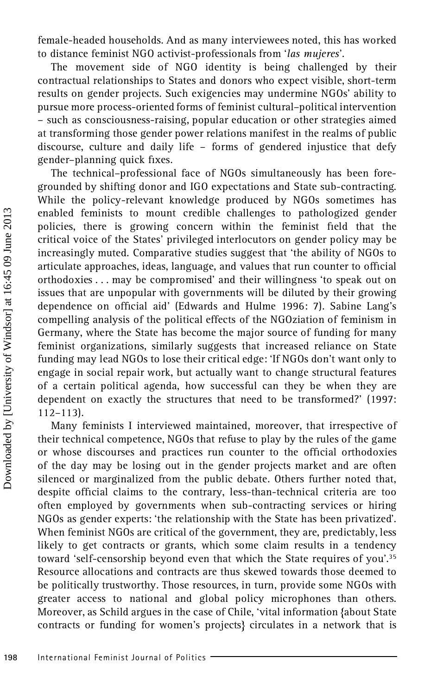female-headed households. And as many interviewees noted, this has worked to distance feminist NGO activist-professionals from '*las mujeres*'.

The movement side of NGO identity is being challenged by their contractual relationships to States and donors who expect visible, short-term results on gender projects. Such exigencies may undermine NGOs' ability to pursue more process-oriented forms of feminist cultural–political intervention – such as consciousness-raising, popular education or other strategies aimed at transforming those gender power relations manifest in the realms of public discourse, culture and daily life – forms of gendered injustice that defy gender-planning quick fixes.

The technical–professional face of NGOs simultaneously has been fore grounded by shifting donor and IGO expectations and State sub-contracting. While the policy-relevant knowledge produced by NGOs sometimes has enabled feminists to mount credible challenges to pathologized gender policies, there is growing concern within the feminist field that the critical voice of the States' privileged interlocutors on gender policy may be increasingly muted. Comparative studies suggest that 'the ability of NGOs to articulate approaches, ideas, language, and values that run counter to official orthodoxies . . . may be compromised' and their willingness 'to speak out on issues that are unpopular with governments will be diluted by their growing dependence on official aid' (Edwards and Hulme 1996: 7). Sabine Lang's compelling analysis of the political effects of the NGOziation of feminism in Germany, where the State has become the major source of funding for many feminist organizations, similarly suggests that increased reliance on State funding may lead NGOs to lose their critical edge: 'If NGOs don't want only to engage in social repair work, but actually want to change structural features of a certain political agenda, how successful can they be when they are dependent on exactly the structures that need to be transformed?' (1997: 112–113).

Many feminists I interviewed maintained, moreover, that irrespective of their technical competence, NGOs that refuse to play by the rules of the game or whose discourses and practices run counter to the official orthodoxies of the day may be losing out in the gender projects market and are often silenced or marginalized from the public debate. Others further noted that, despite official claims to the contrary, less-than-technical criteria are too often employed by governments when sub-contracting services or hiring NGOs as gender experts: 'the relationship with the State has been privatized'. When feminist NGOs are critical of the government, they are, predictably, less likely to get contracts or grants, which some claim results in a tendency toward 'self-censorship beyond even that which the State requires of you'.<sup>35</sup> Resource allocations and contracts are thus skewed towards those deemed to be politically trustworthy. Those resources, in turn, provide some NGOs with greater access to national and global policy microphones than others. Moreover, as Schild argues in the case of Chile, 'vital information {about State contracts or funding for women's projects} circulates in a network that is realist to mount credible policies, there is growing concerned critical voice of the States' privileged articulate approaches, ideas, language, orthodoxies ... may be compromised' issues that are unpopular with govern depe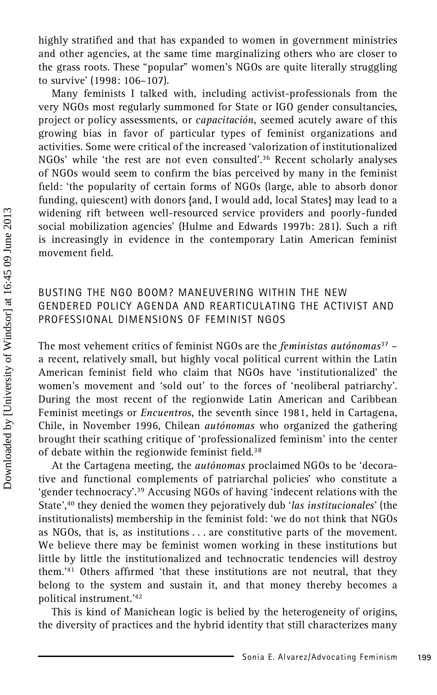highly stratified and that has expanded to women in government ministries and other agencies, at the same time marginalizing others who are closer to the grass roots. These "popular" women's NGOs are quite literally struggling to survive' (1998: 106–107).

Many feminists I talked with, including activist-professionals from the very NGOs most regularly summoned for State or IGO gender consultancies, project or policy assessments, or *capacitación*, seemed acutely aware of this growing bias in favor of particular types of feminist organizations and activities. Some were critical of the increased 'valorization of institutionalized NGOs' while 'the rest are not even consulted'.<sup>36</sup> Recent scholarly analyses of NGOs would seem to confirm the bias perceived by many in the feminist field: 'the popularity of certain forms of NGOs (large, able to absorb donor funding, quiescent) with donors {and, I would add, local States} may lead to a widening rift between well-resourced service providers and poorly-funded social mobilization agencies' (Hulme and Edwards 1997b: 281). Such a rift is increasingly in evidence in the contemporary Latin American feminist movement field.

## BUSTING THE NGO BOOM? MANEUVERING WITHIN THE NEW GENDERED POLICY AGENDA AND REARTICULATING THE ACTIVIST AND PROFESSIONAL DIMENSIONS OF FEMINIST NGOS

The most vehement critics of feminist NGOs are the *feministas autónomas* <sup>37</sup> – a recent, relatively small, but highly vocal political current within the Latin American feminist field who claim that NGOs have 'institutionalized' the women's movement and 'sold out' to the forces of 'neoliberal patriarchy'. During the most recent of the regionwide Latin American and Caribbean Feminist meetings or *Encuentros*, the seventh since 1981, held in Cartagena, Chile, in November 1996, Chilean *autónomas* who organized the gathering brought their scathing critique of 'professionalized feminism' into the center of debate within the regionwide feminist field.<sup>38</sup>

At the Cartagena meeting, the *autónomas* proclaimed NGOs to be 'decorative and functional complements of patriarchal policies' who constitute a 'gender technocracy'.<sup>39</sup> Accusing NGOs of having 'indecent relations with the State',<sup>40</sup> they denied the women they pejoratively dub '*las institucionales*' (the institutionalists) membership in the feminist fold: 'we do not think that NGOs as NGOs, that is, as institutions . . . are constitutive parts of the movement. We believe there may be feminist women working in these institutions but little by little the institutionalized and technocratic tendencies will destroy them. $141$  Others affirmed 'that these institutions are not neutral, that they belong to the system and sustain it, and that money thereby becomes a political instrument.'<sup>42</sup>

This is kind of Manichean logic is belied by the heterogeneity of origins, the diversity of practices and the hybrid identity that still characterizes many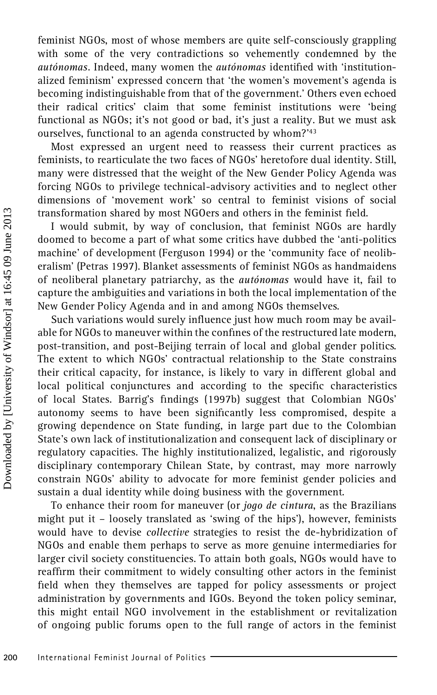feminist NGOs, most of whose members are quite self-consciously grappling with some of the very contradictions so vehemently condemned by the *autónomas*. Indeed, many women the *autónomas* identified with 'institutionalized feminism' expressed concern that 'the women's movement's agenda is becoming indistinguishable from that of the government.' Others even echoed their radical critics' claim that some feminist institutions were 'being functional as NGOs; it's not good or bad, it's just a reality. But we must ask ourselves, functional to an agenda constructed by whom?'<sup>43</sup>

Most expressed an urgent need to reassess their current practices as feminists, to rearticulate the two faces of NGOs' heretofore dual identity. Still, many were distressed that the weight of the New Gender Policy Agenda was forcing NGOs to privilege technical-advisory activities and to neglect other dimensions of 'movement work' so central to feminist visions of social transformation shared by most NGOers and others in the feminist field.

I would submit, by way of conclusion, that feminist NGOs are hardly doomed to become a part of what some critics have dubbed the 'anti-politics machine' of development (Ferguson 1994) or the 'community face of neolib eralism' (Petras 1997). Blanket assessments of feminist NGOs as handmaidens of neoliberal planetary patriarchy, as the *autónomas* would have it, fail to capture the ambiguities and variations in both the local implementation of the New Gender Policy Agenda and in and among NGOs themselves.

Such variations would surely influence just how much room may be available for NGOs to maneuver within the confines of the restructured late modern, post-transition, and post-Beijing terrain of local and global gender politics. The extent to which NGOs' contractual relationship to the State constrains their critical capacity, for instance, is likely to vary in different global and local political conjunctures and according to the specific characteristics of local States. Barrig's findings (1997b) suggest that Colombian NGOs' autonomy seems to have been significantly less compromised, despite a growing dependence on State funding, in large part due to the Colombian State's own lack of institutionalization and consequent lack of disciplinary or regulatory capacities. The highly institutionalized, legalistic, and rigorously disciplinary contemporary Chilean State, by contrast, may more narrowly constrain NGOs' ability to advocate for more feminist gender policies and sustain a dual identity while doing business with the government. **200** I would submit, by way of concl<br>doomed to become a part of what some<br>machine' of development (Ferguson 19<br>eralism' (Petras 1997). Blanket assessm<br>of neoliberal planetary patriarchy, as<br>capture the ambiguities and var

To enhance their room for maneuver (or *jogo de cintura*, as the Brazilians might put it – loosely translated as 'swing of the hips'), however, feminists would have to devise *collective* strategies to resist the de-hybridization of NGOs and enable them perhaps to serve as more genuine intermediaries for larger civil society constituencies. To attain both goals, NGOs would have to reaffirm their commitment to widely consulting other actors in the feminist field when they themselves are tapped for policy assessments or project administration by governments and IGOs. Beyond the token policy seminar, this might entail NGO involvement in the establishment or revitalization of ongoing public forums open to the full range of actors in the feminist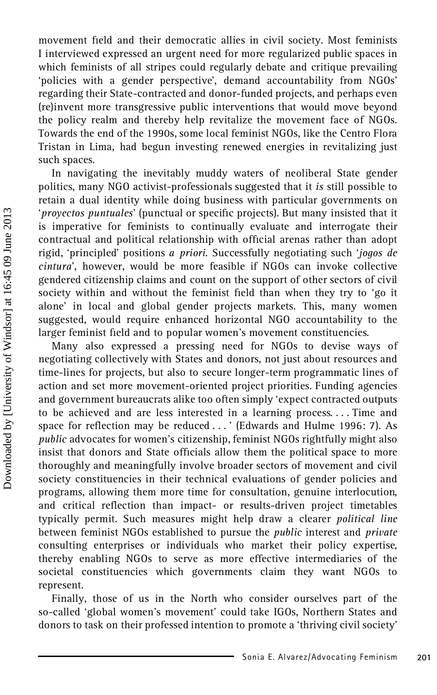movement field and their democratic allies in civil society. Most feminists I interviewed expressed an urgent need for more regularized public spaces in which feminists of all stripes could regularly debate and critique prevailing 'policies with a gender perspective', demand accountability from NGOs' regarding their State-contracted and donor-funded projects, and perhaps even (re)invent more transgressive public interventions that would move beyond the policy realm and thereby help revitalize the movement face of NGOs. Towards the end of the 1990s, some local feminist NGOs, like the Centro Flora Tristan in Lima, had begun investing renewed energies in revitalizing just such spaces.

In navigating the inevitably muddy waters of neoliberal State gender politics, many NGO activist-professionals suggested that it *is* still possible to retain a dual identity while doing business with particular governments on '*proyectos puntuales*' (punctual or specific projects). But many insisted that it is imperative for feminists to continually evaluate and interrogate their contractual and political relationship with official arenas rather than adopt rigid, 'principled' positions *a priori*. Successfully negotiating such '*jogos de cintura*', however, would be more feasible if NGOs can invoke collective gendered citizenship claims and count on the support of other sectors of civil society within and without the feminist field than when they try to 'go it alone' in local and global gender projects markets. This, many women suggested, would require enhanced horizontal NGO accountability to the larger feminist field and to popular women's movement constituencies.

Many also expressed a pressing need for NGOs to devise ways of negotiating collectively with States and donors, not just about resources and time-lines for projects, but also to secure longer-term programmatic lines of action and set more movement-oriented project priorities. Funding agencies and government bureaucrats alike too often simply 'expect contracted outputs to be achieved and are less interested in a learning process. . . . Time and space for reflection may be reduced . . . ' (Edwards and Hulme 1996: 7). As *public* advocates for women's citizenship, feminist NGOs rightfully might also insist that donors and State officials allow them the political space to more thoroughly and meaningfully involve broader sectors of movement and civil society constituencies in their technical evaluations of gender policies and programs, allowing them more time for consultation, genuine interlocution, and critical reflection than impact- or results-driven project timetables typically permit. Such measures might help draw a clearer *political line* between feminist NGOs established to pursue the *public* interest and *private* consulting enterprises or individuals who market their policy expertise, thereby enabling NGOs to serve as more effective intermediaries of the societal constituencies which governments claim they want NGOs to represent.

Finally, those of us in the North who consider ourselves part of the so-called 'global women's movement' could take IGOs, Northern States and donors to task on their professed intention to promote a 'thriving civil society'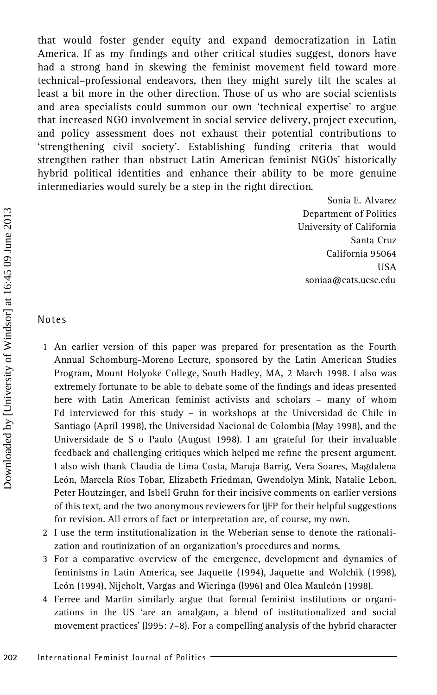that would foster gender equity and expand democratization in Latin America. If as my findings and other critical studies suggest, donors have had a strong hand in skewing the feminist movement field toward more technical–professional endeavors, then they might surely tilt the scales at least a bit more in the other direction. Those of us who are social scientists and area specialists could summon our own 'technical expertise' to argue that increased NGO involvement in social service delivery, project execution, and policy assessment does not exhaust their potential contributions to 'strengthening civil society'. Establishing funding criteria that would strengthen rather than obstruct Latin American feminist NGOs' historically hybrid political identities and enhance their ability to be more genuine intermediaries would surely be a step in the right direction.

> Sonia E. Alvarez Department of Politics University of California Santa Cruz California 95064 **IISA** soniaa@cats.ucsc.edu

#### Notes

- 1 An earlier version of this paper was prepared for presentation as the Fourth Annual Schomburg-Moreno Lecture, sponsored by the Latin American Studies Program, Mount Holyoke College, South Hadley, MA, 2 March 1998. I also was extremely fortunate to be able to debate some of the findings and ideas presented here with Latin American feminist activists and scholars – many of whom I'd interviewed for this study – in workshops at the Universidad de Chile in Santiago (April 1998), the Universidad Nacional de Colombia (May 1998), and the Universidade de S o Paulo (August 1998). I am grateful for their invaluable feedback and challenging critiques which helped me refine the present argument. I also wish thank Claudia de Lima Costa, Maruja Barrig, Vera Soares, Magdalena León, Marcela Ríos Tobar, Elizabeth Friedman, Gwendolyn Mink, Natalie Lebon, Peter Houtzinger, and Isbell Gruhn for their incisive comments on earlier versions of this text, and the two anonymous reviewers for IjFP for their helpful suggestions for revision. All errors of fact or interpretation are, of course, my own. **202** International Scheminist Scheminist Journal Schemin, Mount Holyek College, Sointernan Forentz<br> **2022** International Feminist Td interviewed for this study – in v<br>
Samitago (April 1998), the Universidad by  $-$  in v<br>
S
	- 2 I use the term institutionalization in the Weberian sense to denote the rationali zation and routinization of an organization's procedures and norms.
	- 3 For a comparative overview of the emergence, development and dynamics of feminisms in Latin America, see Jaquette (1994), Jaquette and Wolchik (1998), León (1994), Nijeholt, Vargas and Wieringa (l996) and Olea Mauleón (1998).
	- 4 Ferree and Martin similarly argue that formal feminist institutions or organi zations in the US 'are an amalgam, a blend of institutionalized and social movement practices' (l995: 7–8). For a compelling analysis of the hybrid character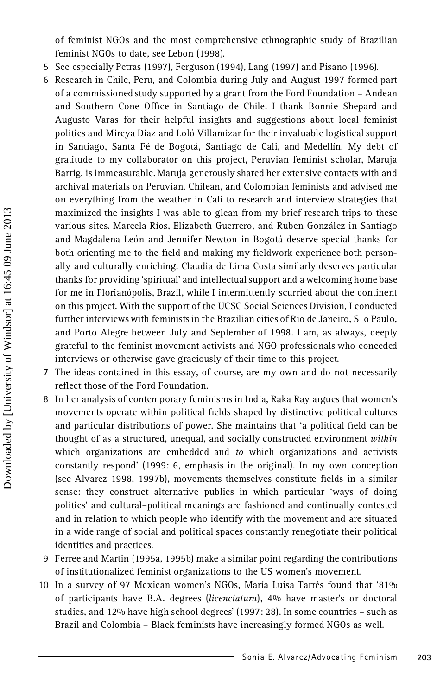of feminist NGOs and the most comprehensive ethnographic study of Brazilian feminist NGOs to date, see Lebon (1998).

- 5 See especially Petras (1997), Ferguson (1994), Lang (1997) and Pisano (1996).
- 6 Research in Chile, Peru, and Colombia during July and August 1997 formed part of a commissioned study supported by a grant from the Ford Foundation – Andean and Southern Cone Office in Santiago de Chile. I thank Bonnie Shepard and Augusto Varas for their helpful insights and suggestions about local feminist politics and Mireya Díaz and Loló Villamizar for their invaluable logistical support in Santiago, Santa Fé de Bogotá, Santiago de Cali, and Medellín. My debt of gratitude to my collaborator on this project, Peruvian feminist scholar, Maruja Barrig, is immeasurable. Maruja generously shared her extensive contacts with and archival materials on Peruvian, Chilean, and Colombian feminists and advised me on everything from the weather in Cali to research and interview strategies that maximized the insights I was able to glean from my brief research trips to these various sites. Marcela Ríos, Elizabeth Guerrero, and Ruben González in Santiago and Magdalena León and Jennifer Newton in Bogotá deserve special thanks for both orienting me to the field and making my fieldwork experience both personally and culturally enriching. Claudia de Lima Costa similarly deserves particular thanks for providing 'spiritual' and intellectual support and a welcoming home base for me in Florianópolis, Brazil, while I intermittently scurried about the continent on this project. With the support of the UCSC Social Sciences Division, I conducted further interviews with feminists in the Brazilian cities of Rio de Janeiro, S o Paulo, and Porto Alegre between July and September of 1998. I am, as always, deeply grateful to the feminist movement activists and NGO professionals who conceded interviews or otherwise gave graciously of their time to this project.
- 7 The ideas contained in this essay, of course, are my own and do not necessarily reflect those of the Ford Foundation.
- 8 In her analysis of contemporary feminisms in India, Raka Ray argues that women's movements operate within political fields shaped by distinctive political cultures and particular distributions of power. She maintains that 'a political field can be thought of as a structured, unequal, and socially constructed environment *within* which organizations are embedded and *to* which organizations and activists constantly respond' (1999: 6, emphasis in the original). In my own conception (see Alvarez 1998, 1997b), movements themselves constitute fields in a similar sense: they construct alternative publics in which particular 'ways of doing politics' and cultural–political meanings are fashioned and continually contested and in relation to which people who identify with the movement and are situated in a wide range of social and political spaces constantly renegotiate their political identities and practices.
- 9 Ferree and Martin (1995a, 1995b) make a similar point regarding the contributions of institutionalized feminist organizations to the US women's movement.
- 10 In a survey of 97 Mexican women's NGOs, María Luisa Tarrés found that '81% of participants have B.A. degrees (*licenciatura*), 4% have master's or doctoral studies, and 12% have high school degrees' (1997: 28). In some countries – such as Brazil and Colombia – Black feminists have increasingly formed NGOs as well.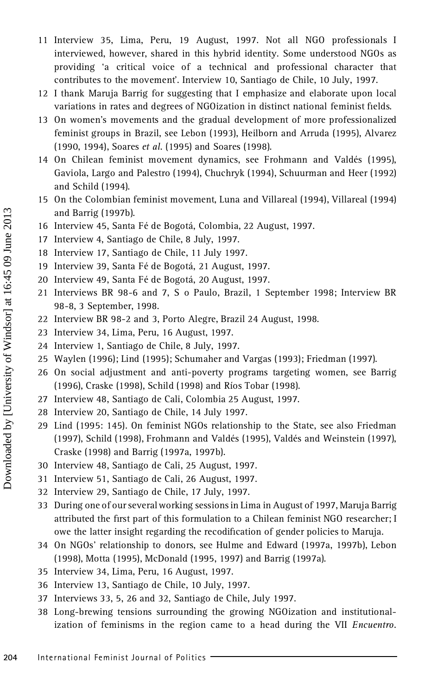- 11 Interview 35, Lima, Peru, 19 August, 1997. Not all NGO professionals I interviewed, however, shared in this hybrid identity. Some understood NGOs as providing 'a critical voice of a technical and professional character that contributes to the movement'. Interview 10, Santiago de Chile, 10 July, 1997.
- 12 I thank Maruja Barrig for suggesting that I emphasize and elaborate upon local variations in rates and degrees of NGOization in distinct national feminist fields.
- 13 On women's movements and the gradual development of more professionalized feminist groups in Brazil, see Lebon (1993), Heilborn and Arruda (1995), Alvarez (1990, 1994), Soares *et al*. (1995) and Soares (1998).
- 14 On Chilean feminist movement dynamics, see Frohmann and Valdés (1995), Gaviola, Largo and Palestro (1994), Chuchryk (1994), Schuurman and Heer (1992) and Schild (1994).
- 15 On the Colombian feminist movement, Luna and Villareal (1994), Villareal (1994) and Barrig (1997b).
- 16 Interview 45, Santa Fé de Bogotá, Colombia, 22 August, 1997.
- 17 Interview 4, Santiago de Chile, 8 July, 1997.
- 18 Interview 17, Santiago de Chile, 11 July 1997.
- 19 Interview 39, Santa Fé de Bogotá, 21 August, 1997.
- 20 Interview 49, Santa Fé de Bogotá, 20 August, 1997.
- 21 Interviews BR 98-6 and 7, S o Paulo, Brazil, 1 September 1998; Interview BR 98-8, 3 September, 1998.
- 22 Interview BR 98-2 and 3, Porto Alegre, Brazil 24 August, 1998.
- 23 Interview 34, Lima, Peru, 16 August, 1997.
- 24 Interview 1, Santiago de Chile, 8 July, 1997.
- 25 Waylen (1996); Lind (1995); Schumaher and Vargas (1993); Friedman (1997).
- 26 On social adjustment and anti-poverty programs targeting women, see Barrig (1996), Craske (1998), Schild (1998) and Ríos Tobar (1998).
- 27 Interview 48, Santiago de Cali, Colombia 25 August, 1997.
- 28 Interview 20, Santiago de Chile, 14 July 1997.
- 29 Lind (1995: 145). On feminist NGOs relationship to the State, see also Friedman (1997), Schild (1998), Frohmann and Valdés (1995), Valdés and Weinstein (1997), Craske (1998) and Barrig (1997a, 1997b).
- 30 Interview 48, Santiago de Cali, 25 August, 1997.
- 31 Interview 51, Santiago de Cali, 26 August, 1997.
- 32 Interview 29, Santiago de Chile, 17 July, 1997.
- 33 During one of our several working sessions in Lima in August of 1997, Maruja Barrig attributed the first part of this formulation to a Chilean feminist NGO researcher; I owe the latter insight regarding the recodification of gender policies to Maruja. 21<br> **204** Interview 45, Santa Fé de Bogotá, Cole<br>
16 Interview 4, Santago de Chile, 8 July,<br>
18 Interview 17, Santiago de Chile, 8 July,<br>
19 Interview 17, Santiago de Chile, 8 July,<br>
20 Interview 49, Santa Fé de Bogotá, 2
	- 34 On NGOs' relationship to donors, see Hulme and Edward (1997a, 1997b), Lebon (1998), Motta (1995), McDonald (1995, 1997) and Barrig (1997a).
	- 35 Interview 34, Lima, Peru, 16 August, 1997.
	- 36 Interview 13, Santiago de Chile, 10 July, 1997.
	- 37 Interviews 33, 5, 26 and 32, Santiago de Chile, July 1997.
	- 38 Long-brewing tensions surrounding the growing NGOization and institutionalization of feminisms in the region came to a head during the VII *Encuentro*.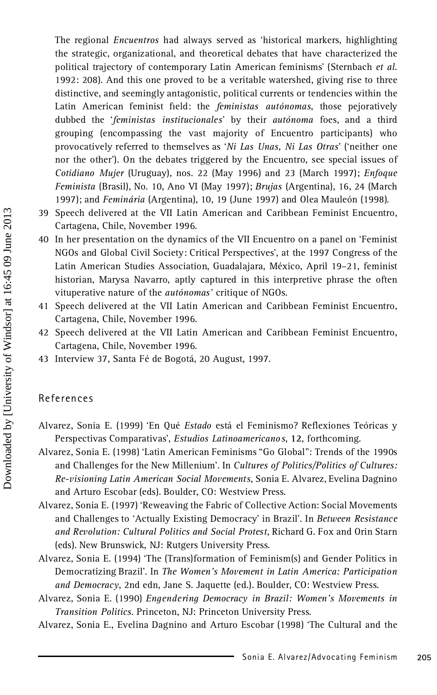The regional *Encuentros* had always served as 'historical markers, highlighting the strategic, organizational, and theoretical debates that have characterized the political trajectory of contemporary Latin American feminisms' (Sternbach *et al*. 1992: 208). And this one proved to be a veritable watershed, giving rise to three distinctive, and seemingly antagonistic, political currents or tendencies within the Latin American feminist field: the *feministas autónomas*, those pejoratively dubbed the '*feministas institucionales*' by their *autónoma* foes, and a third grouping (encompassing the vast majority of Encuentro participants) who provocatively referred to themselves as '*Ni Las Unas, Ni Las Otras*' ('neither one nor the other'). On the debates triggered by the Encuentro, see special issues of *Cotidiano Mujer* (Uruguay), nos. 22 (May 1996) and 23 (March 1997); *Enfoque Feminista* (Brasil), No. 10, Ano VI (May 1997); *Brujas* (Argentina), 16, 24 (March 1997); and *Feminária* (Argentina), 10, 19 (June 1997) and Olea Mauleón (1998).

- 39 Speech delivered at the VII Latin American and Caribbean Feminist Encuentro, Cartagena, Chile, November 1996.
- 40 In her presentation on the dynamics of the VII Encuentro on a panel on 'Feminist NGOs and Global Civil Society: Critical Perspectives', at the 1997 Congress of the Latin American Studies Association, Guadalajara, México, April 19–21, feminist historian, Marysa Navarro, aptly captured in this interpretive phrase the often vituperative nature of the *autónomas'* critique of NGOs.
- 41 Speech delivered at the VII Latin American and Caribbean Feminist Encuentro, Cartagena, Chile, November 1996.
- 42 Speech delivered at the VII Latin American and Caribbean Feminist Encuentro, Cartagena, Chile, November 1996.
- 43 Interview 37, Santa Fé de Bogotá, 20 August, 1997.

#### References

- Alvarez, Sonia E. (1999) 'En Qué *Estado* está el Feminismo? Reflexiones Teóricas y Perspectivas Comparativas', *Estudios Latinoamericanos*, **12**, forthcoming.
- Alvarez, Sonia E. (1998) 'Latin American Feminisms "Go Global": Trends of the 1990s and Challenges for the New Millenium'. In *Cultures of Politics/Politics of Cultures: Re-visioning Latin American Social Movements*, Sonia E. Alvarez, Evelina Dagnino and Arturo Escobar (eds). Boulder, CO: Westview Press.
- Alvarez, Sonia E. (1997) 'Reweaving the Fabric of Collective Action: Social Movements and Challenges to 'Actually Existing Democracy' in Brazil'. In *Between Resistance and Revolution: Cultural Politics and Social Protest*, Richard G. Fox and Orin Starn (eds). New Brunswick, NJ: Rutgers University Press.
- Alvarez, Sonia E. (1994) 'The (Trans)formation of Feminism(s) and Gender Politics in Democratizing Brazil'. In *The Women's Movement in Latin America: Participation and Democracy*, 2nd edn, Jane S. Jaquette (ed.). Boulder, CO: Westview Press.
- Alvarez, Sonia E. (1990) *Engendering Democracy in Brazil: Women's Movements in Transition Politics*. Princeton, NJ: Princeton University Press.
- Alvarez, Sonia E., Evelina Dagnino and Arturo Escobar (1998) 'The Cultural and the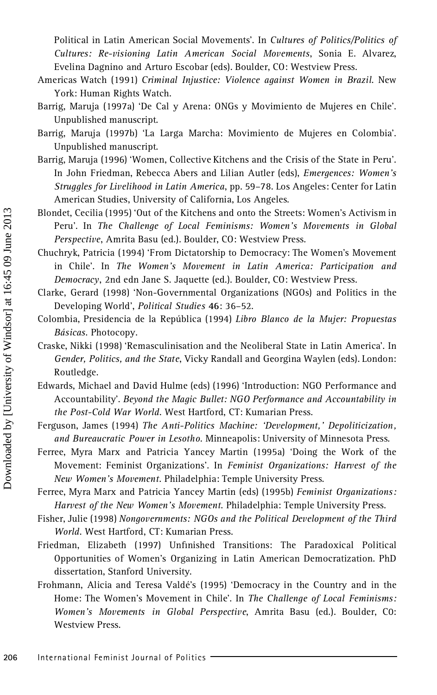Political in Latin American Social Movements'. In *Cultures of Politics/Politics of Cultures: Re-visioning Latin American Social Movements*, Sonia E. Alvarez, Evelina Dagnino and Arturo Escobar (eds). Boulder, CO: Westview Press.

- Americas Watch (1991) *Criminal Injustice: Violence against Women in Brazil*. New York: Human Rights Watch.
- Barrig, Maruja (1997a) 'De Cal y Arena: ONGs y Movimiento de Mujeres en Chile'. Unpublished manuscript.
- Barrig, Maruja (1997b) 'La Larga Marcha: Movimiento de Mujeres en Colombia'. Unpublished manuscript.
- Barrig, Maruja (1996) 'Women, Collective Kitchens and the Crisis of the State in Peru'. In John Friedman, Rebecca Abers and Lilian Autler (eds), *Emergences: Women's Struggles for Livelihood in Latin America*, pp. 59–78. Los Angeles: Center for Latin American Studies, University of California, Los Angeles.
- Blondet, Cecilia (1995) 'Out of the Kitchens and onto the Streets: Women's Activism in Peru'. In *The Challenge of Local Feminisms: Women's Movements in Global Perspective*, Amrita Basu (ed.). Boulder, CO: Westview Press.
- Chuchryk, Patricia (1994) 'From Dictatorship to Democracy: The Women's Movement in Chile'. In *The Women's Movement in Latin America: Participation and Democracy*, 2nd edn Jane S. Jaquette (ed.). Boulder, CO: Westview Press.
- Clarke, Gerard (1998) 'Non-Governmental Organizations (NGOs) and Politics in the Developing World', *Political Studies* **46**: 36–52.
- Colombia, Presidencia de la República (1994) *Libro Blanco de la Mujer: Propuestas Básicas*. Photocopy.
- Craske, Nikki (1998) 'Remasculinisation and the Neoliberal State in Latin America'. In *Gender, Politics, and the State*, Vicky Randall and Georgina Waylen (eds). London: Routledge.
- Edwards, Michael and David Hulme (eds) (1996) 'Introduction: NGO Performance and Accountability'. *Beyond the Magic Bullet: NGO Performance and Accountability in the Post-Cold War World*. West Hartford, CT: Kumarian Press.
- Ferguson, James (1994) *The Anti-Politics Machine: 'Development,' Depoliticization, and Bureaucratic Power in Lesotho*. Minneapolis: University of Minnesota Press.
- Ferree, Myra Marx and Patricia Yancey Martin (1995a) 'Doing the Work of the Movement: Feminist Organizations'. In *Feminist Organizations: Harvest of the New Women's Movement*. Philadelphia: Temple University Press.
- Ferree, Myra Marx and Patricia Yancey Martin (eds) (1995b) *Feminist Organizations: Harvest of the New Women's Movement*. Philadelphia: Temple University Press.
- Fisher, Julie (1998) *Nongovernments: NGOs and the Political Development of the Third World*. West Hartford, CT: Kumarian Press.
- Friedman, Elizabeth (1997) Unfinished Transitions: The Paradoxical Political Opportunities of Women's Organizing in Latin American Democratization. PhD dissertation, Stanford University.
- Frohmann, Alicia and Teresa Valdé's (1995) 'Democracy in the Country and in the Home: The Women's Movement in Chile'. In *The Challenge of Local Feminisms: Women's Movements in Global Perspective*, Amrita Basu (ed.). Boulder, C0: Westview Press. **206** International Feminist Bundet, Cecilia (1995) 'Out of the Kitchens<br>
Perspective, Amrita Basu (ed.). Bouldet<br>
2011 Feminist Downloaded Columbic International Conditions<br>
2013 The University Persual of University Devel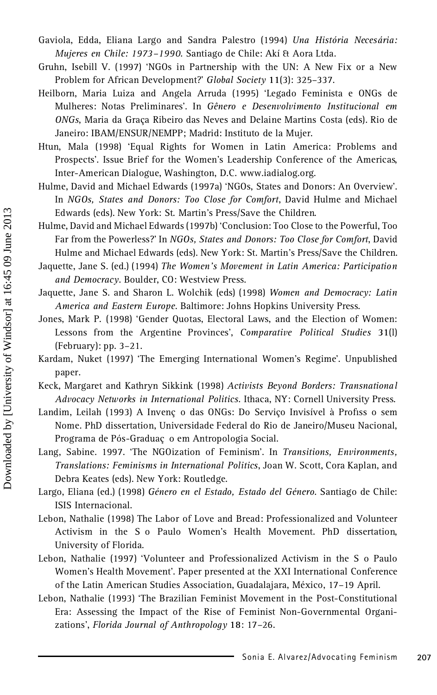- Gaviola, Edda, Eliana Largo and Sandra Palestro (1994) *Una História Necesária: Mujeres en Chile: 1973–1990*. Santiago de Chile: Akí & Aora Ltda.
- Gruhn, Isebill V. (1997) 'NGOs in Partnership with the UN: A New Fix or a New Problem for African Development?' *Global Society* **11**(3): 325–337.
- Heilborn, Maria Luiza and Angela Arruda (1995) 'Legado Feminista e ONGs de Mulheres: Notas Preliminares'. In *Gênero e Desenvolvimento Institucional em ONGs*, Maria da Graça Ribeiro das Neves and Delaine Martins Costa (eds). Rio de Janeiro: IBAM/ENSUR/NEMPP; Madrid: Instituto de la Mujer.
- Htun, Mala (1998) 'Equal Rights for Women in Latin America: Problems and Prospects'. Issue Brief for the Women's Leadership Conference of the Americas, Inter-American Dialogue, Washington, D.C. www.iadialog.org.
- Hulme, David and Michael Edwards (1997a) 'NGOs, States and Donors: An Overview'. In *NGOs, States and Donors: Too Close for Comfort*, David Hulme and Michael Edwards (eds). New York: St. Martin's Press/Save the Children.
- Hulme, David and Michael Edwards (1997b) 'Conclusion: Too Close to the Powerful, Too Far from the Powerless?' In *NGOs, States and Donors: Too Close for Comfort*, David Hulme and Michael Edwards (eds). New York: St. Martin's Press/Save the Children.
- Jaquette, Jane S. (ed.) (1994) *The Women's Movement in Latin America: Participation and Democracy*. Boulder, CO: Westview Press.
- Jaquette, Jane S. and Sharon L. Wolchik (eds) (1998) *Women and Democracy: Latin America and Eastern Europe*. Baltimore: Johns Hopkins University Press.
- Jones, Mark P. (1998) 'Gender Quotas, Electoral Laws, and the Election of Women: Lessons from the Argentine Provinces', *Comparative Political Studies* **31**(l) (February): pp. 3–21.
- Kardam, Nuket (1997) 'The Emerging International Women's Regime'. Unpublished paper.
- Keck, Margaret and Kathryn Sikkink (1998) *Activists Beyond Borders: Transnational Advocacy Networks in International Politics*. Ithaca, NY: Cornell University Press.
- Landim, Leilah (1993) A Invenç o das ONGs: Do Serviço Invisível à Profiss o sem Nome. PhD dissertation, Universidade Federal do Rio de Janeiro/Museu Nacional, Programa de Pós-Graduaç o em Antropologia Social.
- Lang, Sabine. 1997. 'The NGOization of Feminism'. In *Transitions, Environments, Translations: Feminisms in International Politics*, Joan W. Scott, Cora Kaplan, and Debra Keates (eds). New York: Routledge.
- Largo, Eliana (ed.) (1998) *Género en el Estado, Estado del Género*. Santiago de Chile: ISIS Internacional.
- Lebon, Nathalie (1998) The Labor of Love and Bread: Professionalized and Volunteer Activism in the S o Paulo Women's Health Movement. PhD dissertation, University of Florida.
- Lebon, Nathalie (1997) 'Volunteer and Professionalized Activism in the S o Paulo Women's Health Movement'. Paper presented at the XXI International Conference of the Latin American Studies Association, Guadalajara, México, 17–19 April.
- Lebon, Nathalie (1993) 'The Brazilian Feminist Movement in the Post-Constitutional Era: Assessing the Impact of the Rise of Feminist Non-Governmental Organi zations', *Florida Journal of Anthropology* **18**: 17–26.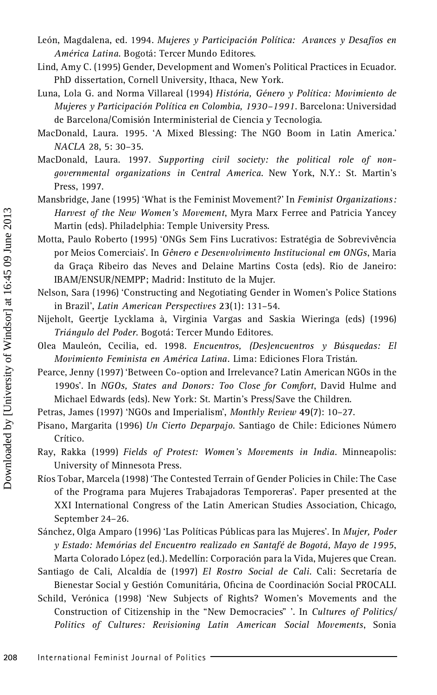- León, Magdalena, ed. 1994. *Mujeres y Participación Política: Avances y Desafíos en América Latina*. Bogotá: Tercer Mundo Editores.
- Lind, Amy C. (1995) Gender, Development and Women's Political Practices in Ecuador. PhD dissertation, Cornell University, Ithaca, New York.
- Luna, Lola G. and Norma Villareal (1994) *História, Género y Política: Movimiento de Mujeres y Participación Política en Colombia, 1930–1991*. Barcelona: Universidad de Barcelona/Comisión Interministerial de Ciencia y Tecnologia.
- MacDonald, Laura. 1995. 'A Mixed Blessing: The NGO Boom in Latin America.' *NACLA* 28, 5: 30–35.
- MacDonald, Laura. 1997. *Supporting civil society: the political role of non governmental organizations in Central America*. New York, N.Y.: St. Martin's Press, 1997.
- Mansbridge, Jane (1995) 'What is the Feminist Movement?' In *Feminist Organizations: Harvest of the New Women's Movement*, Myra Marx Ferree and Patricia Yancey Martin (eds). Philadelphia: Temple University Press.
- Motta, Paulo Roberto (1995) 'ONGs Sem Fins Lucrativos: Estratégia de Sobrevivência por Meios Comerciais'. In *Gênero e Desenvolvimento Institucional em ONGs*, Maria da Graça Ribeiro das Neves and Delaine Martins Costa (eds). Rio de Janeiro: IBAM/ENSUR/NEMPP; Madrid: Instituto de la Mujer. *Harvest of the New Women's Moveme*<br>
Matrin (eds). Philadelphia: Temple Uni<br>
Motta, Paulo Roberto (1995) 'ONG Sem F<br>
por Meios Comerciais. In Género e Des<br>
da Graça Ribeiro das Neves and Del<br>
IBAM/ENSUR/NEMPP; Madrid: Inst
	- Nelson, Sara (1996) 'Constructing and Negotiating Gender in Women's Police Stations in Brazil', *Latin American Perspectives* **23**(1): 131–54.
	- Nijeholt, Geertje Lycklama à, Virginia Vargas and Saskia Wieringa (eds) (1996) *Triángulo del Poder*. Bogotá: Tercer Mundo Editores.
	- Olea Mauleón, Cecilia, ed. 1998. *Encuentros, (Des)encuentros y Búsquedas: El Movimiento Feminista en América Latina.* Lima: Ediciones Flora Tristán.
	- Pearce, Jenny (1997) 'Between Co-option and Irrelevance? Latin American NGOs in the 1990s'. In *NGOs, States and Donors: Too Close for Comfort*, David Hulme and Michael Edwards (eds). New York: St. Martin's Press/Save the Children.
	- Petras, James (1997) 'NGOs and Imperialism', *Monthly Review* **49**(7): 10–27.
	- Pisano, Margarita (1996) *Un Cierto Deparpajo*. Santiago de Chile: Ediciones Número Crítico.
	- Ray, Rakka (1999) *Fields of Protest: Women's Movements in India*. Minneapolis: University of Minnesota Press.
	- Ríos Tobar, Marcela (1998) 'The Contested Terrain of Gender Policies in Chile: The Case of the Programa para Mujeres Trabajadoras Temporeras'. Paper presented at the XXI International Congress of the Latin American Studies Association, Chicago, September 24–26.
	- Sánchez, Olga Amparo (1996) 'Las Políticas Públicas para las Mujeres'. In *Mujer, Poder y Estado: Memórias del Encuentro realizado en Santafé de Bogotá, Mayo de 1995*, Marta Colorado López (ed.). Medellín: Corporación para la Vida, Mujeres que Crean.
	- Santiago de Cali, Alcaldía de (1997) *El Rostro Social de Cali*. Cali: Secretaría de Bienestar Social y Gestión Comunitária, Oficina de Coordinación Social PROCALI.
	- Schild, Verónica (1998) 'New Subjects of Rights? Women's Movements and the Construction of Citizenship in the "New Democracies" '. In *Cultures of Politics/ Politics of Cultures: Revisioning Latin American Social Movements*, Sonia